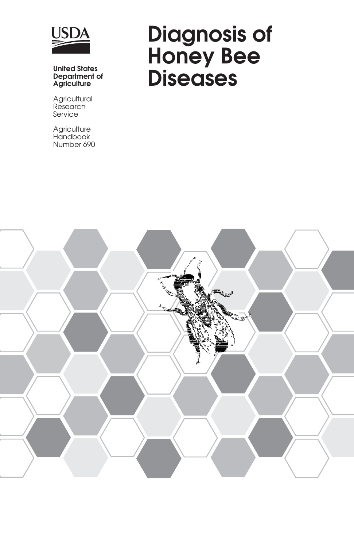

### **Department of Agriculture**

**Agricultural** Research Service

**Agriculture** Handbook Number 690

# **Diagnosis of Honey Bee** United States<br> **Diseases**<br>
Agriculture<br> **Diseases**

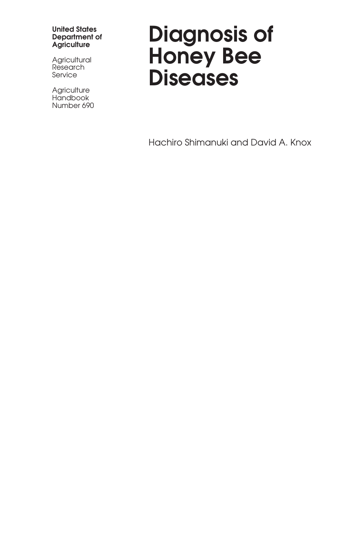#### **United States Department of Agriculture**

**Agricultural** Research Service

**Agriculture Handbook** Number 690

# **Diagnosis of Honey Bee Diseases**

Hachiro Shimanuki and David A. Knox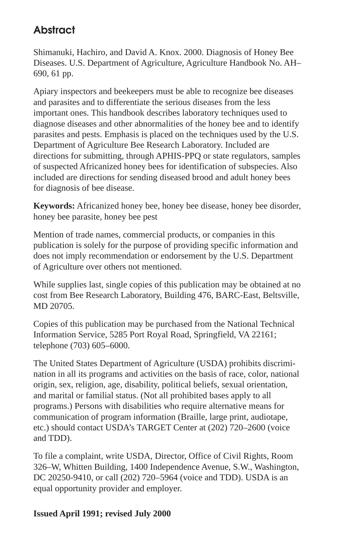### **Abstract**

Shimanuki, Hachiro, and David A. Knox. 2000. Diagnosis of Honey Bee Diseases. U.S. Department of Agriculture, Agriculture Handbook No. AH– 690, 61 pp.

Apiary inspectors and beekeepers must be able to recognize bee diseases and parasites and to differentiate the serious diseases from the less important ones. This handbook describes laboratory techniques used to diagnose diseases and other abnormalities of the honey bee and to identify parasites and pests. Emphasis is placed on the techniques used by the U.S. Department of Agriculture Bee Research Laboratory. Included are directions for submitting, through APHIS-PPQ or state regulators, samples of suspected Africanized honey bees for identification of subspecies. Also included are directions for sending diseased brood and adult honey bees for diagnosis of bee disease.

**Keywords:** Africanized honey bee, honey bee disease, honey bee disorder, honey bee parasite, honey bee pest

Mention of trade names, commercial products, or companies in this publication is solely for the purpose of providing specific information and does not imply recommendation or endorsement by the U.S. Department of Agriculture over others not mentioned.

While supplies last, single copies of this publication may be obtained at no cost from Bee Research Laboratory, Building 476, BARC-East, Beltsville, MD 20705.

Copies of this publication may be purchased from the National Technical Information Service, 5285 Port Royal Road, Springfield, VA 22161; telephone (703) 605–6000.

The United States Department of Agriculture (USDA) prohibits discrimination in all its programs and activities on the basis of race, color, national origin, sex, religion, age, disability, political beliefs, sexual orientation, and marital or familial status. (Not all prohibited bases apply to all programs.) Persons with disabilities who require alternative means for communication of program information (Braille, large print, audiotape, etc.) should contact USDA's TARGET Center at (202) 720–2600 (voice and TDD).

To file a complaint, write USDA, Director, Office of Civil Rights, Room 326–W, Whitten Building, 1400 Independence Avenue, S.W., Washington, DC 20250-9410, or call (202) 720–5964 (voice and TDD). USDA is an equal opportunity provider and employer.

### **Issued April 1991; revised July 2000**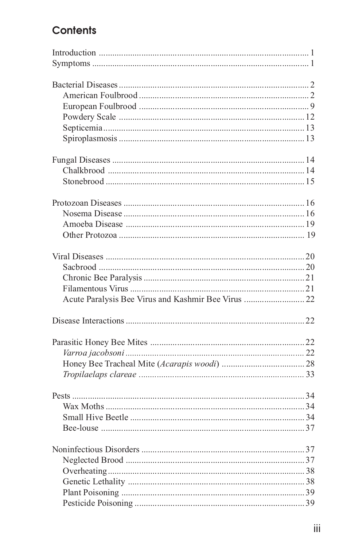### Contents

| Acute Paralysis Bee Virus and Kashmir Bee Virus  22 |  |
|-----------------------------------------------------|--|
|                                                     |  |
|                                                     |  |
|                                                     |  |
|                                                     |  |
|                                                     |  |
|                                                     |  |
|                                                     |  |
|                                                     |  |
|                                                     |  |
|                                                     |  |
|                                                     |  |
|                                                     |  |
|                                                     |  |
|                                                     |  |
|                                                     |  |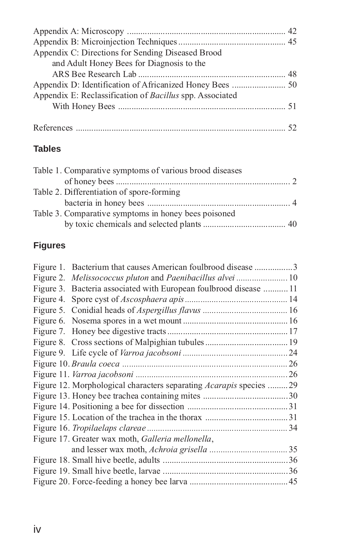### **Tables**

| Table 1. Comparative symptoms of various brood diseases |  |
|---------------------------------------------------------|--|
|                                                         |  |
| Table 2. Differentiation of spore-forming               |  |
|                                                         |  |
| Table 3. Comparative symptoms in honey bees poisoned    |  |
|                                                         |  |

### **Figures**

| Figure 1. Bacterium that causes American foulbrood disease 3              |  |
|---------------------------------------------------------------------------|--|
|                                                                           |  |
| Figure 3. Bacteria associated with European foulbrood disease 11          |  |
|                                                                           |  |
|                                                                           |  |
|                                                                           |  |
|                                                                           |  |
|                                                                           |  |
|                                                                           |  |
|                                                                           |  |
|                                                                           |  |
| Figure 12. Morphological characters separating <i>Acarapis</i> species 29 |  |
|                                                                           |  |
|                                                                           |  |
|                                                                           |  |
|                                                                           |  |
| Figure 17. Greater wax moth, Galleria mellonella,                         |  |
|                                                                           |  |
|                                                                           |  |
|                                                                           |  |
|                                                                           |  |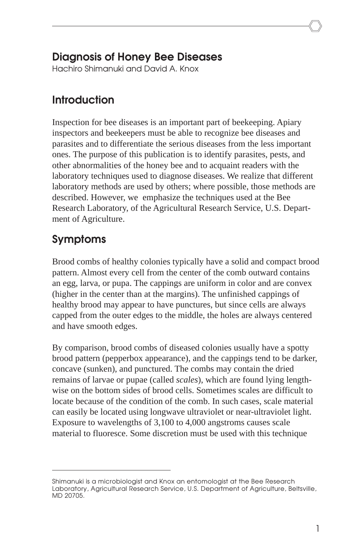### **Diagnosis of Honey Bee Diseases**

Hachiro Shimanuki and David A. Knox

### **Introduction**

Inspection for bee diseases is an important part of beekeeping. Apiary inspectors and beekeepers must be able to recognize bee diseases and parasites and to differentiate the serious diseases from the less important ones. The purpose of this publication is to identify parasites, pests, and other abnormalities of the honey bee and to acquaint readers with the laboratory techniques used to diagnose diseases. We realize that different laboratory methods are used by others; where possible, those methods are described. However, we emphasize the techniques used at the Bee Research Laboratory, of the Agricultural Research Service, U.S. Department of Agriculture.

## **Symptoms**

Brood combs of healthy colonies typically have a solid and compact brood pattern. Almost every cell from the center of the comb outward contains an egg, larva, or pupa. The cappings are uniform in color and are convex (higher in the center than at the margins). The unfinished cappings of healthy brood may appear to have punctures, but since cells are always capped from the outer edges to the middle, the holes are always centered and have smooth edges.

By comparison, brood combs of diseased colonies usually have a spotty brood pattern (pepperbox appearance), and the cappings tend to be darker, concave (sunken), and punctured. The combs may contain the dried remains of larvae or pupae (called *scales*), which are found lying lengthwise on the bottom sides of brood cells. Sometimes scales are difficult to locate because of the condition of the comb. In such cases, scale material can easily be located using longwave ultraviolet or near-ultraviolet light. Exposure to wavelengths of 3,100 to 4,000 angstroms causes scale material to fluoresce. Some discretion must be used with this technique

Shimanuki is a microbiologist and Knox an entomologist at the Bee Research Laboratory, Agricultural Research Service, U.S. Department of Agriculture, Beltsville, MD 20705.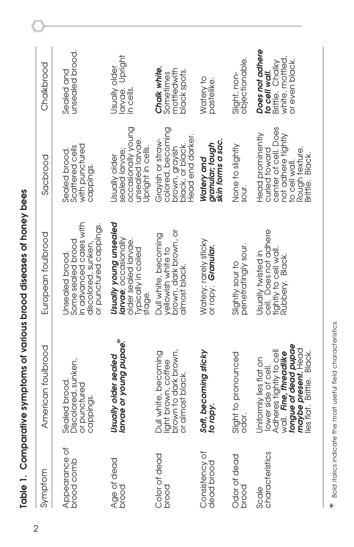| Symptom                      | American foulbrood                                                                                                                                                            | European foulbrood                                                                                              | Sacbrood                                                                                                                             | Chalkbrood                                                                               |
|------------------------------|-------------------------------------------------------------------------------------------------------------------------------------------------------------------------------|-----------------------------------------------------------------------------------------------------------------|--------------------------------------------------------------------------------------------------------------------------------------|------------------------------------------------------------------------------------------|
| Appearance of<br>brood comb  | Discolored, sunken,<br>Sealed brood.<br>or punctured<br>cappings.                                                                                                             | in advanced cases with<br>or punctured cappings.<br>Some sealed brood<br>discolored, sunken,<br>Jnsealed brood. | with punctured<br>Scattered cells<br>Sealed brood.<br>cappings.                                                                      | unsealed brood.<br>Sealed and                                                            |
| Age of dead<br>pood          | larvae or young pupae.*<br>Usually older sealed                                                                                                                               | Usually young unsealed<br>larvae: occasionally<br>older sealed larvae.<br>Typically in coiled<br>stage.         | occasionally young<br>unsealed larvae.<br>Upright in cells.<br>sealed larvae;<br>Usually older                                       | larvae. Upright<br>Usually older<br>in cells.                                            |
| Color of dead<br>bood        | brown to dark brown,<br>Dull white, becoming<br>liaht brown, coffee<br>or almost black                                                                                        | brown, dark brown, or<br>Dull white, becoming<br>yellowish white to<br>almost black.                            | colored, becoming<br>Head end darker.<br>Grayish or straw-<br>black, or black.<br>brown, grayish                                     | Chalk white.<br>mottledwith<br>black spots.<br>Sometimes                                 |
| Consistency of<br>dead brood | Soft, becoming sticky<br><b>Tablici</b>                                                                                                                                       | Watery; rarely sticky<br>orropy. Granular.                                                                      | granular; tough<br>skin forms a sac.<br>Watery and                                                                                   | Watery to<br>pastelike.                                                                  |
| Odor of dead<br>brood        | Slight to pronounced<br>odor.                                                                                                                                                 | penetratingly sour.<br>Slightly sour to                                                                         | None to slightly<br>sour.                                                                                                            | objectionable.<br>Slight, non-                                                           |
| characteristics<br>Scale     | tongue of dead pupae<br>maybe present. Head<br>Adheres tightly to cell<br>wall. Fine threadlike<br>lies flat, Brittle, Black<br>Uniformly lies flat on<br>lower side of cell. | cell. Does not adhere<br>tightly to cell wall<br>Usually twisted in<br>Rubbery, Black                           | center of cell. Does<br>Head prominently<br>not adhere tightiy<br>Rough texture.<br>curled toward<br>Brittle, Black<br>to cell wall. | Does not adhere<br>white, mottled,<br>or even black.<br>Brittle. Chalky<br>to cell wall. |

Table 1. Comparative symptoms of various brood diseases of honey bees **Table 1. Comparative symptoms of various brood diseases of honey bees**

2

Bold italics indicate the most useful field characteristics. \* Bold italics indicate the most useful field characteristics.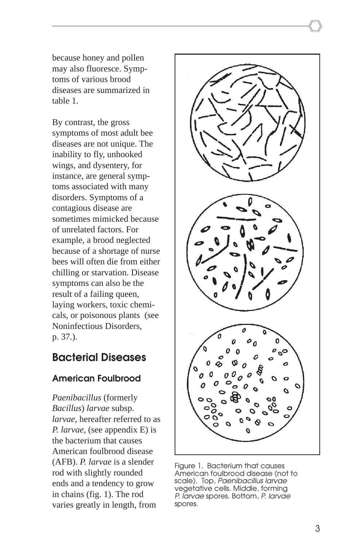because honey and pollen may also fluoresce. Symptoms of various brood diseases are summarized in table 1.

By contrast, the gross symptoms of most adult bee diseases are not unique. The inability to fly, unhooked wings, and dysentery, for instance, are general symptoms associated with many disorders. Symptoms of a contagious disease are sometimes mimicked because of unrelated factors. For example, a brood neglected because of a shortage of nurse bees will often die from either chilling or starvation. Disease symptoms can also be the result of a failing queen, laying workers, toxic chemicals, or poisonous plants (see Noninfectious Disorders, p. 37.).

### **Bacterial Diseases**

### **American Foulbrood**

*Paenibacillus* (formerly *Bacillus*) *larvae* subsp. *larvae*, hereafter referred to as *P. larvae,* (see appendix E) is the bacterium that causes American foulbrood disease (AFB). *P. larvae* is a slender rod with slightly rounded ends and a tendency to grow in chains (fig. 1). The rod varies greatly in length, from



Figure 1. Bacterium that causes American foulbrood disease (not to scale). Top, Paenibacillus larvae vegetative cells. Middle, forming P. larvae spores. Bottom, P. larvae spores.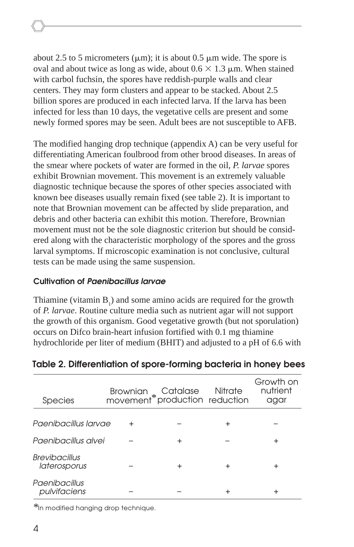about 2.5 to 5 micrometers ( $\mu$ m); it is about 0.5  $\mu$ m wide. The spore is oval and about twice as long as wide, about  $0.6 \times 1.3 \mu$ m. When stained with carbol fuchsin, the spores have reddish-purple walls and clear centers. They may form clusters and appear to be stacked. About 2.5 billion spores are produced in each infected larva. If the larva has been infected for less than 10 days, the vegetative cells are present and some newly formed spores may be seen. Adult bees are not susceptible to AFB.

The modified hanging drop technique (appendix A) can be very useful for differentiating American foulbrood from other brood diseases. In areas of the smear where pockets of water are formed in the oil, *P. larvae* spores exhibit Brownian movement. This movement is an extremely valuable diagnostic technique because the spores of other species associated with known bee diseases usually remain fixed (see table 2). It is important to note that Brownian movement can be affected by slide preparation, and debris and other bacteria can exhibit this motion. Therefore, Brownian movement must not be the sole diagnostic criterion but should be considered along with the characteristic morphology of the spores and the gross larval symptoms. If microscopic examination is not conclusive, cultural tests can be made using the same suspension.

#### **Cultivation of Paenibacillus larvae**

Thiamine (vitamin  $B_1$ ) and some amino acids are required for the growth of *P. larvae*. Routine culture media such as nutrient agar will not support the growth of this organism. Good vegetative growth (but not sporulation) occurs on Difco brain-heart infusion fortified with 0.1 mg thiamine hydrochloride per liter of medium (BHIT) and adjusted to a pH of 6.6 with

| <b>Species</b>                       | Brownian Catalase Nitrate<br>movement*production reduction |   |   | Growth on<br>nutrient<br>agar |
|--------------------------------------|------------------------------------------------------------|---|---|-------------------------------|
| Paenibacillus Iarvae                 | $\ddot{}$                                                  |   | ٠ |                               |
| Paenibacillus alvei                  |                                                            | + |   | ٠                             |
| <b>Brevibacillus</b><br>laterosporus |                                                            | + |   | +                             |
| Paenibacillus<br>pulvifaciens        |                                                            |   |   |                               |

### **Table 2. Differentiation of spore-forming bacteria in honey bees**

\*In modified hanging drop technique.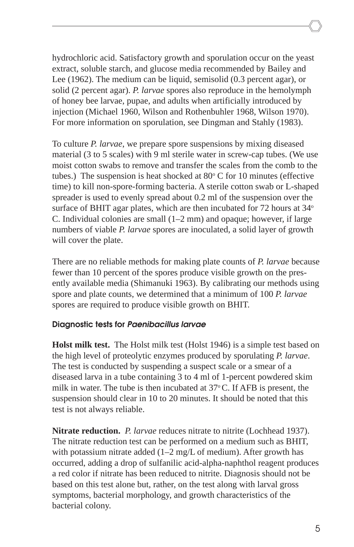hydrochloric acid. Satisfactory growth and sporulation occur on the yeast extract, soluble starch, and glucose media recommended by Bailey and Lee (1962). The medium can be liquid, semisolid (0.3 percent agar), or solid (2 percent agar). *P. larvae* spores also reproduce in the hemolymph of honey bee larvae, pupae, and adults when artificially introduced by injection (Michael 1960, Wilson and Rothenbuhler 1968, Wilson 1970). For more information on sporulation, see Dingman and Stahly (1983).

To culture *P. larvae*, we prepare spore suspensions by mixing diseased material (3 to 5 scales) with 9 ml sterile water in screw-cap tubes. (We use moist cotton swabs to remove and transfer the scales from the comb to the tubes.) The suspension is heat shocked at  $80^{\circ}$  C for 10 minutes (effective time) to kill non-spore-forming bacteria. A sterile cotton swab or L-shaped spreader is used to evenly spread about 0.2 ml of the suspension over the surface of BHIT agar plates, which are then incubated for  $72$  hours at  $34^{\circ}$ C. Individual colonies are small (1–2 mm) and opaque; however, if large numbers of viable *P. larvae* spores are inoculated, a solid layer of growth will cover the plate.

There are no reliable methods for making plate counts of *P. larvae* because fewer than 10 percent of the spores produce visible growth on the presently available media (Shimanuki 1963). By calibrating our methods using spore and plate counts, we determined that a minimum of 100 *P. larvae* spores are required to produce visible growth on BHIT.

#### **Diagnostic tests for Paenibacillus larvae**

**Holst milk test.** The Holst milk test (Holst 1946) is a simple test based on the high level of proteolytic enzymes produced by sporulating *P. larvae*. The test is conducted by suspending a suspect scale or a smear of a diseased larva in a tube containing 3 to 4 ml of 1-percent powdered skim milk in water. The tube is then incubated at  $37^{\circ}$ C. If AFB is present, the suspension should clear in 10 to 20 minutes. It should be noted that this test is not always reliable.

**Nitrate reduction.** *P. larvae* reduces nitrate to nitrite (Lochhead 1937). The nitrate reduction test can be performed on a medium such as BHIT, with potassium nitrate added  $(1-2 \text{ mg/L of medium})$ . After growth has occurred, adding a drop of sulfanilic acid-alpha-naphthol reagent produces a red color if nitrate has been reduced to nitrite. Diagnosis should not be based on this test alone but, rather, on the test along with larval gross symptoms, bacterial morphology, and growth characteristics of the bacterial colony.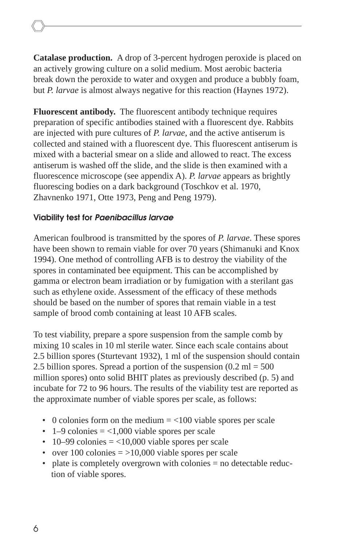**Catalase production.**A drop of 3-percent hydrogen peroxide is placed on an actively growing culture on a solid medium. Most aerobic bacteria break down the peroxide to water and oxygen and produce a bubbly foam, but *P. larvae* is almost always negative for this reaction (Haynes 1972).

**Fluorescent antibody.** The fluorescent antibody technique requires preparation of specific antibodies stained with a fluorescent dye. Rabbits are injected with pure cultures of *P. larvae*, and the active antiserum is collected and stained with a fluorescent dye. This fluorescent antiserum is mixed with a bacterial smear on a slide and allowed to react. The excess antiserum is washed off the slide, and the slide is then examined with a fluorescence microscope (see appendix A). *P. larvae* appears as brightly fluorescing bodies on a dark background (Toschkov et al. 1970, Zhavnenko 1971, Otte 1973, Peng and Peng 1979).

#### **Viability test for Paenibacillus larvae**

American foulbrood is transmitted by the spores of *P. larvae*. These spores have been shown to remain viable for over 70 years (Shimanuki and Knox 1994). One method of controlling AFB is to destroy the viability of the spores in contaminated bee equipment. This can be accomplished by gamma or electron beam irradiation or by fumigation with a sterilant gas such as ethylene oxide. Assessment of the efficacy of these methods should be based on the number of spores that remain viable in a test sample of brood comb containing at least 10 AFB scales.

To test viability, prepare a spore suspension from the sample comb by mixing 10 scales in 10 ml sterile water. Since each scale contains about 2.5 billion spores (Sturtevant 1932), 1 ml of the suspension should contain 2.5 billion spores. Spread a portion of the suspension  $(0.2 \text{ ml} = 500$ million spores) onto solid BHIT plates as previously described (p. 5) and incubate for 72 to 96 hours. The results of the viability test are reported as the approximate number of viable spores per scale, as follows:

- 0 colonies form on the medium  $=$  <100 viable spores per scale
- $1-9$  colonies  $=$  <1,000 viable spores per scale
- 10–99 colonies  $=$  <10,000 viable spores per scale
- over 100 colonies  $=$  >10,000 viable spores per scale
- plate is completely overgrown with colonies = no detectable reduction of viable spores.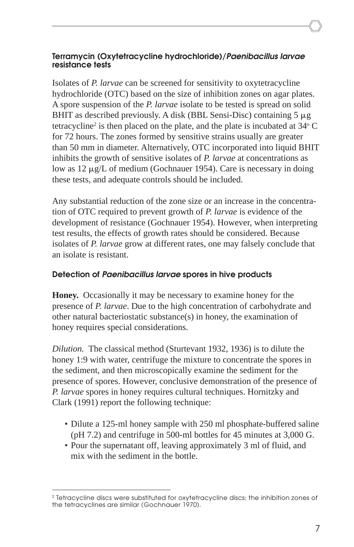#### **Terramycin (Oxytetracycline hydrochloride)/Paenibacillus larvae resistance tests**

Isolates of *P. larvae* can be screened for sensitivity to oxytetracycline hydrochloride (OTC) based on the size of inhibition zones on agar plates. A spore suspension of the *P. larvae* isolate to be tested is spread on solid BHIT as described previously. A disk (BBL Sensi-Disc) containing  $5 \mu$ g tetracycline<sup>2</sup> is then placed on the plate, and the plate is incubated at  $34^{\circ}$  C for 72 hours. The zones formed by sensitive strains usually are greater than 50 mm in diameter. Alternatively, OTC incorporated into liquid BHIT inhibits the growth of sensitive isolates of *P. larvae* at concentrations as low as  $12 \mu g/L$  of medium (Gochnauer 1954). Care is necessary in doing these tests, and adequate controls should be included.

Any substantial reduction of the zone size or an increase in the concentration of OTC required to prevent growth of *P. larvae* is evidence of the development of resistance (Gochnauer 1954). However, when interpreting test results, the effects of growth rates should be considered. Because isolates of *P. larvae* grow at different rates, one may falsely conclude that an isolate is resistant.

#### **Detection of Paenibacillus larvae spores in hive products**

**Honey.** Occasionally it may be necessary to examine honey for the presence of *P. larvae*. Due to the high concentration of carbohydrate and other natural bacteriostatic substance(s) in honey, the examination of honey requires special considerations.

*Dilution.* The classical method (Sturtevant 1932, 1936) is to dilute the honey 1:9 with water, centrifuge the mixture to concentrate the spores in the sediment, and then microscopically examine the sediment for the presence of spores. However, conclusive demonstration of the presence of *P. larvae* spores in honey requires cultural techniques. Hornitzky and Clark (1991) report the following technique:

- Dilute a 125-ml honey sample with 250 ml phosphate-buffered saline (pH 7.2) and centrifuge in 500-ml bottles for 45 minutes at 3,000 G.
- Pour the supernatant off, leaving approximately 3 ml of fluid, and mix with the sediment in the bottle.

<sup>&</sup>lt;sup>2</sup> Tetracycline discs were substituted for oxytetracycline discs; the inhibition zones of the tetracyclines are similar (Gochnauer 1970).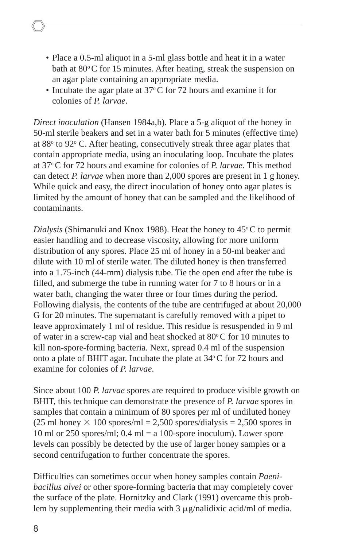- Place a 0.5-ml aliquot in a 5-ml glass bottle and heat it in a water bath at  $80^{\circ}$ C for 15 minutes. After heating, streak the suspension on an agar plate containing an appropriate media.
- Incubate the agar plate at  $37^{\circ}$ C for 72 hours and examine it for colonies of *P. larvae*.

*Direct inoculation* (Hansen 1984a,b). Place a 5-g aliquot of the honey in 50-ml sterile beakers and set in a water bath for 5 minutes (effective time) at 88° to 92° C. After heating, consecutively streak three agar plates that contain appropriate media, using an inoculating loop. Incubate the plates at 37o C for 72 hours and examine for colonies of *P. larvae*. This method can detect *P. larvae* when more than 2,000 spores are present in 1 g honey. While quick and easy, the direct inoculation of honey onto agar plates is limited by the amount of honey that can be sampled and the likelihood of contaminants.

*Dialysis* (Shimanuki and Knox 1988). Heat the honey to  $45^{\circ}$ C to permit easier handling and to decrease viscosity, allowing for more uniform distribution of any spores. Place 25 ml of honey in a 50-ml beaker and dilute with 10 ml of sterile water. The diluted honey is then transferred into a 1.75-inch (44-mm) dialysis tube. Tie the open end after the tube is filled, and submerge the tube in running water for 7 to 8 hours or in a water bath, changing the water three or four times during the period. Following dialysis, the contents of the tube are centrifuged at about 20,000 G for 20 minutes. The supernatant is carefully removed with a pipet to leave approximately 1 ml of residue. This residue is resuspended in 9 ml of water in a screw-cap vial and heat shocked at  $80^{\circ}$ C for 10 minutes to kill non-spore-forming bacteria. Next, spread 0.4 ml of the suspension onto a plate of BHIT agar. Incubate the plate at  $34^{\circ}$ C for 72 hours and examine for colonies of *P. larvae*.

Since about 100 *P. larvae* spores are required to produce visible growth on BHIT, this technique can demonstrate the presence of *P. larvae* spores in samples that contain a minimum of 80 spores per ml of undiluted honey  $(25 \text{ ml honey} \times 100 \text{ spores/ml} = 2,500 \text{ spores/dialysis} = 2,500 \text{ spores in}$ 10 ml or 250 spores/ml;  $0.4$  ml = a 100-spore inoculum). Lower spore levels can possibly be detected by the use of larger honey samples or a second centrifugation to further concentrate the spores.

Difficulties can sometimes occur when honey samples contain *Paenibacillus alvei* or other spore-forming bacteria that may completely cover the surface of the plate. Hornitzky and Clark (1991) overcame this problem by supplementing their media with  $3 \mu g /n \text{alid}$ ixic acid/ml of media.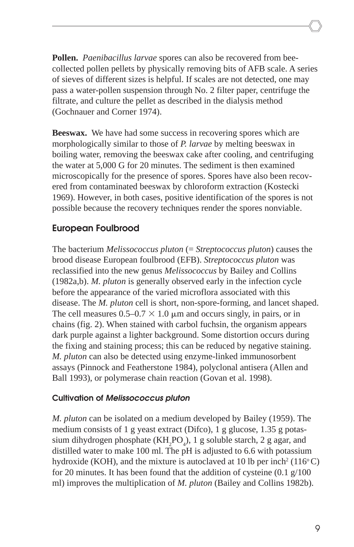**Pollen.** *Paenibacillus larvae* spores can also be recovered from beecollected pollen pellets by physically removing bits of AFB scale. A series of sieves of different sizes is helpful. If scales are not detected, one may pass a water-pollen suspension through No. 2 filter paper, centrifuge the filtrate, and culture the pellet as described in the dialysis method (Gochnauer and Corner 1974).

**Beeswax.** We have had some success in recovering spores which are morphologically similar to those of *P. larvae* by melting beeswax in boiling water, removing the beeswax cake after cooling, and centrifuging the water at 5,000 G for 20 minutes. The sediment is then examined microscopically for the presence of spores. Spores have also been recovered from contaminated beeswax by chloroform extraction (Kostecki 1969). However, in both cases, positive identification of the spores is not possible because the recovery techniques render the spores nonviable.

### **European Foulbrood**

The bacterium *Melissococcus pluton* (= *Streptococcus pluton*) causes the brood disease European foulbrood (EFB). *Streptococcus pluton* was reclassified into the new genus *Melissococcus* by Bailey and Collins (1982a,b). *M. pluton* is generally observed early in the infection cycle before the appearance of the varied microflora associated with this disease. The *M. pluton* cell is short, non-spore-forming, and lancet shaped. The cell measures  $0.5{\text -}0.7 \times 1.0 \mu$ m and occurs singly, in pairs, or in chains (fig. 2). When stained with carbol fuchsin, the organism appears dark purple against a lighter background. Some distortion occurs during the fixing and staining process; this can be reduced by negative staining. *M. pluton* can also be detected using enzyme-linked immunosorbent assays (Pinnock and Featherstone 1984), polyclonal antisera (Allen and Ball 1993), or polymerase chain reaction (Govan et al. 1998).

#### **Cultivation of Melissococcus pluton**

*M. pluton* can be isolated on a medium developed by Bailey (1959). The medium consists of 1 g yeast extract (Difco), 1 g glucose, 1.35 g potassium dihydrogen phosphate  $(KH_2PO_4)$ , 1 g soluble starch, 2 g agar, and distilled water to make 100 ml. The pH is adjusted to 6.6 with potassium hydroxide (KOH), and the mixture is autoclaved at 10 lb per inch<sup>2</sup> (116 $^{\circ}$ C) for 20 minutes. It has been found that the addition of cysteine (0.1 g/100 ml) improves the multiplication of *M. pluton* (Bailey and Collins 1982b).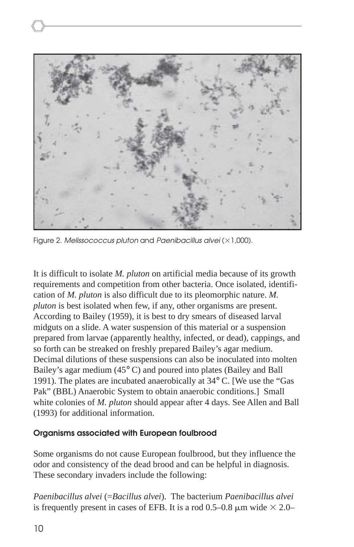

Figure 2. Melissococcus pluton and Paenibacillus alvei ( $\times$ 1,000).

It is difficult to isolate *M. pluton* on artificial media because of its growth requirements and competition from other bacteria. Once isolated, identification of *M. pluton* is also difficult due to its pleomorphic nature. *M. pluton* is best isolated when few, if any, other organisms are present. According to Bailey (1959), it is best to dry smears of diseased larval midguts on a slide. A water suspension of this material or a suspension prepared from larvae (apparently healthy, infected, or dead), cappings, and so forth can be streaked on freshly prepared Bailey's agar medium. Decimal dilutions of these suspensions can also be inoculated into molten Bailey's agar medium (45° C) and poured into plates (Bailey and Ball 1991). The plates are incubated anaerobically at 34° C. [We use the "Gas Pak" (BBL) Anaerobic System to obtain anaerobic conditions.] Small white colonies of *M. pluton* should appear after 4 days. See Allen and Ball (1993) for additional information.

#### **Organisms associated with European foulbrood**

Some organisms do not cause European foulbrood, but they influence the odor and consistency of the dead brood and can be helpful in diagnosis. These secondary invaders include the following:

*Paenibacillus alvei* (=*Bacillus alvei*). The bacterium *Paenibacillus alvei* is frequently present in cases of EFB. It is a rod 0.5–0.8  $\mu$ m wide  $\times$  2.0–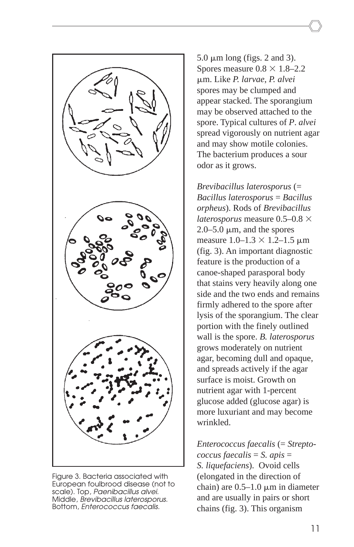

Figure 3. Bacteria associated with European foulbrood disease (not to scale). Top, Paenibacillus alvei. Middle, Brevibacillus laterosporus. Bottom, Enterococcus faecalis.

 $5.0 \mu m$  long (figs. 2 and 3). Spores measure  $0.8 \times 1.8$ -2.2 m. Like *P. larvae*, *P. alvei* spores may be clumped and appear stacked. The sporangium may be observed attached to the spore. Typical cultures of *P*. *alvei* spread vigorously on nutrient agar and may show motile colonies. The bacterium produces a sour odor as it grows.

*Brevibacillus laterosporus* (= *Bacillus laterosporus* = *Bacillus orpheus*). Rods of *Brevibacillus laterosporus* measure  $0.5{\text -}0.8$   $\times$  $2.0 - 5.0 \mu m$ , and the spores measure  $1.0 - 1.3 \times 1.2 - 1.5 \mu m$ (fig. 3). An important diagnostic feature is the production of a canoe-shaped parasporal body that stains very heavily along one side and the two ends and remains firmly adhered to the spore after lysis of the sporangium. The clear portion with the finely outlined wall is the spore. *B. laterosporus* grows moderately on nutrient agar, becoming dull and opaque, and spreads actively if the agar surface is moist. Growth on nutrient agar with 1-percent glucose added (glucose agar) is more luxuriant and may become wrinkled.

*Enterococcus faecalis* (= *Streptococcus faecalis* = *S. apis* = *S. liquefaciens*). Ovoid cells (elongated in the direction of chain) are  $0.5-1.0 \mu m$  in diameter and are usually in pairs or short chains (fig. 3). This organism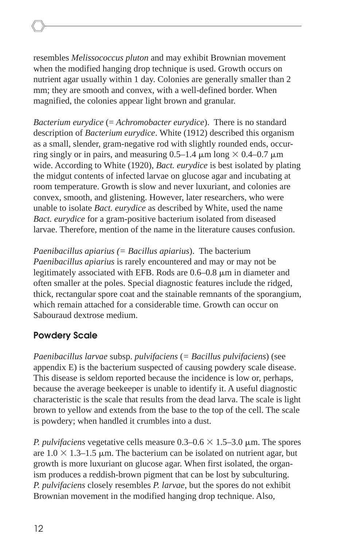resembles *Melissococcus pluton* and may exhibit Brownian movement when the modified hanging drop technique is used. Growth occurs on nutrient agar usually within 1 day. Colonies are generally smaller than 2 mm; they are smooth and convex, with a well-defined border. When magnified, the colonies appear light brown and granular.

*Bacterium eurydice* (= *Achromobacter eurydice*). There is no standard description of *Bacterium eurydice*. White (1912) described this organism as a small, slender, gram-negative rod with slightly rounded ends, occurring singly or in pairs, and measuring  $0.5-1.4 \mu m \log \times 0.4-0.7 \mu m$ wide. According to White (1920), *Bact. eurydice* is best isolated by plating the midgut contents of infected larvae on glucose agar and incubating at room temperature. Growth is slow and never luxuriant, and colonies are convex, smooth, and glistening. However, later researchers, who were unable to isolate *Bact. eurydice* as described by White, used the name *Bact. eurydice* for a gram-positive bacterium isolated from diseased larvae. Therefore, mention of the name in the literature causes confusion.

*Paenibacillus apiarius (= Bacillus apiarius*). The bacterium *Paenibacillus apiarius* is rarely encountered and may or may not be legitimately associated with EFB. Rods are  $0.6-0.8 \mu m$  in diameter and often smaller at the poles. Special diagnostic features include the ridged, thick, rectangular spore coat and the stainable remnants of the sporangium, which remain attached for a considerable time. Growth can occur on Sabouraud dextrose medium.

### **Powdery Scale**

*Paenibacillus larvae* subsp. *pulvifaciens* (*= Bacillus pulvifaciens*) (see appendix E) is the bacterium suspected of causing powdery scale disease. This disease is seldom reported because the incidence is low or, perhaps, because the average beekeeper is unable to identify it. A useful diagnostic characteristic is the scale that results from the dead larva. The scale is light brown to yellow and extends from the base to the top of the cell. The scale is powdery; when handled it crumbles into a dust.

*P. pulvifaciens* vegetative cells measure  $0.3{\text -}0.6 \times 1.5{\text -}3.0 \text{ }\mu\text{m}$ . The spores are  $1.0 \times 1.3$ –1.5 µm. The bacterium can be isolated on nutrient agar, but growth is more luxuriant on glucose agar. When first isolated, the organism produces a reddish-brown pigment that can be lost by subculturing. *P. pulvifaciens* closely resembles *P. larvae*, but the spores do not exhibit Brownian movement in the modified hanging drop technique. Also,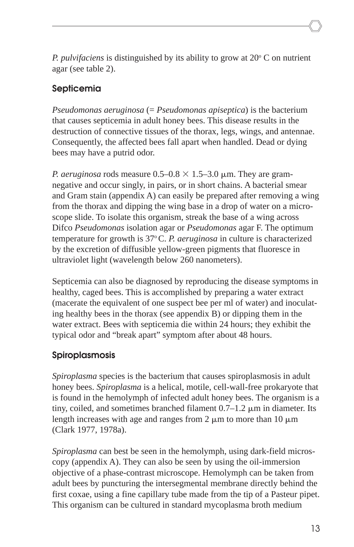*P. pulvifaciens* is distinguished by its ability to grow at 20° C on nutrient agar (see table 2).

### **Septicemia**

*Pseudomonas aeruginosa* (= *Pseudomonas apiseptica*) is the bacterium that causes septicemia in adult honey bees. This disease results in the destruction of connective tissues of the thorax, legs, wings, and antennae. Consequently, the affected bees fall apart when handled. Dead or dying bees may have a putrid odor.

*P. aeruginosa* rods measure  $0.5{\text -}0.8 \times 1.5{\text -}3.0$   $\mu$ m. They are gramnegative and occur singly, in pairs, or in short chains. A bacterial smear and Gram stain (appendix A) can easily be prepared after removing a wing from the thorax and dipping the wing base in a drop of water on a microscope slide. To isolate this organism, streak the base of a wing across Difco *Pseudomonas* isolation agar or *Pseudomonas* agar F. The optimum temperature for growth is 37<sup>o</sup>C. *P. aeruginosa* in culture is characterized by the excretion of diffusible yellow-green pigments that fluoresce in ultraviolet light (wavelength below 260 nanometers).

Septicemia can also be diagnosed by reproducing the disease symptoms in healthy, caged bees. This is accomplished by preparing a water extract (macerate the equivalent of one suspect bee per ml of water) and inoculating healthy bees in the thorax (see appendix B) or dipping them in the water extract. Bees with septicemia die within 24 hours; they exhibit the typical odor and "break apart" symptom after about 48 hours.

### **Spiroplasmosis**

*Spiroplasma* species is the bacterium that causes spiroplasmosis in adult honey bees. *Spiroplasma* is a helical, motile, cell-wall-free prokaryote that is found in the hemolymph of infected adult honey bees. The organism is a tiny, coiled, and sometimes branched filament  $0.7-1.2 \mu m$  in diameter. Its length increases with age and ranges from 2  $\mu$ m to more than 10  $\mu$ m (Clark 1977, 1978a).

*Spiroplasma* can best be seen in the hemolymph, using dark-field microscopy (appendix A). They can also be seen by using the oil-immersion objective of a phase-contrast microscope. Hemolymph can be taken from adult bees by puncturing the intersegmental membrane directly behind the first coxae, using a fine capillary tube made from the tip of a Pasteur pipet. This organism can be cultured in standard mycoplasma broth medium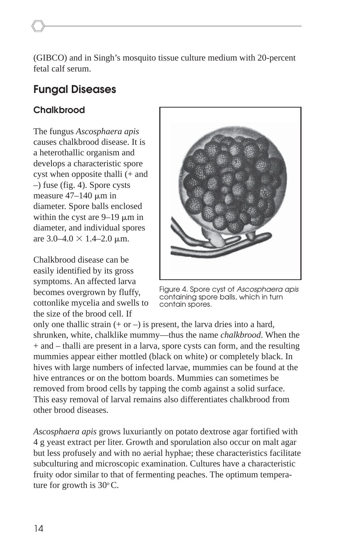(GIBCO) and in Singh's mosquito tissue culture medium with 20-percent fetal calf serum.

### **Fungal Diseases**

### **Chalkbrood**

The fungus *Ascosphaera apis* causes chalkbrood disease. It is a heterothallic organism and develops a characteristic spore cyst when opposite thalli (+ and –) fuse (fig. 4). Spore cysts measure  $47-140 \mu m$  in diameter. Spore balls enclosed within the cyst are  $9-19 \mu m$  in diameter, and individual spores are  $3.0 - 4.0 \times 1.4 - 2.0 \mu m$ .

Chalkbrood disease can be easily identified by its gross symptoms. An affected larva becomes overgrown by fluffy, cottonlike mycelia and swells to the size of the brood cell. If



Figure 4. Spore cyst of Ascosphaera apis containing spore balls, which in turn contain spores.

only one thallic strain  $(+ or -)$  is present, the larva dries into a hard, shrunken, white, chalklike mummy—thus the name *chalkbrood*. When the + and – thalli are present in a larva, spore cysts can form, and the resulting mummies appear either mottled (black on white) or completely black. In hives with large numbers of infected larvae, mummies can be found at the hive entrances or on the bottom boards. Mummies can sometimes be removed from brood cells by tapping the comb against a solid surface. This easy removal of larval remains also differentiates chalkbrood from other brood diseases.

*Ascosphaera apis* grows luxuriantly on potato dextrose agar fortified with 4 g yeast extract per liter. Growth and sporulation also occur on malt agar but less profusely and with no aerial hyphae; these characteristics facilitate subculturing and microscopic examination. Cultures have a characteristic fruity odor similar to that of fermenting peaches. The optimum temperature for growth is  $30^{\circ}$ C.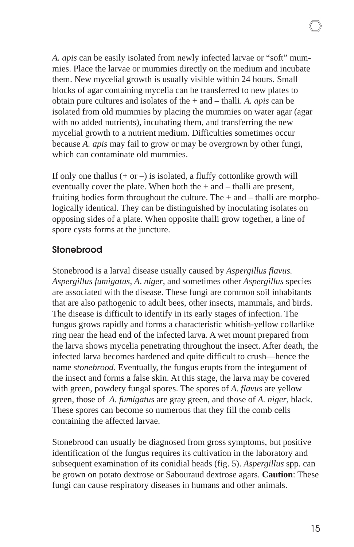*A. apis* can be easily isolated from newly infected larvae or "soft" mummies. Place the larvae or mummies directly on the medium and incubate them. New mycelial growth is usually visible within 24 hours. Small blocks of agar containing mycelia can be transferred to new plates to obtain pure cultures and isolates of the + and – thalli. *A. apis* can be isolated from old mummies by placing the mummies on water agar (agar with no added nutrients), incubating them, and transferring the new mycelial growth to a nutrient medium. Difficulties sometimes occur because *A. apis* may fail to grow or may be overgrown by other fungi, which can contaminate old mummies.

If only one thallus  $(+ or -)$  is isolated, a fluffy cottonlike growth will eventually cover the plate. When both the + and – thalli are present, fruiting bodies form throughout the culture. The  $+$  and  $-$  thalli are morphologically identical. They can be distinguished by inoculating isolates on opposing sides of a plate. When opposite thalli grow together, a line of spore cysts forms at the juncture.

### **Stonebrood**

Stonebrood is a larval disease usually caused by *Aspergillus flavus. Aspergillus fumigatus, A*. *niger*, and sometimes other *Aspergillus* species are associated with the disease. These fungi are common soil inhabitants that are also pathogenic to adult bees, other insects, mammals, and birds. The disease is difficult to identify in its early stages of infection. The fungus grows rapidly and forms a characteristic whitish-yellow collarlike ring near the head end of the infected larva. A wet mount prepared from the larva shows mycelia penetrating throughout the insect. After death, the infected larva becomes hardened and quite difficult to crush—hence the name *stonebrood*. Eventually, the fungus erupts from the integument of the insect and forms a false skin. At this stage, the larva may be covered with green, powdery fungal spores. The spores of *A. flavus* are yellow green, those of *A. fumigatus* are gray green, and those of *A. niger*, black. These spores can become so numerous that they fill the comb cells containing the affected larvae.

Stonebrood can usually be diagnosed from gross symptoms, but positive identification of the fungus requires its cultivation in the laboratory and subsequent examination of its conidial heads (fig. 5). *Aspergillus* spp. can be grown on potato dextrose or Sabouraud dextrose agars. **Caution**: These fungi can cause respiratory diseases in humans and other animals.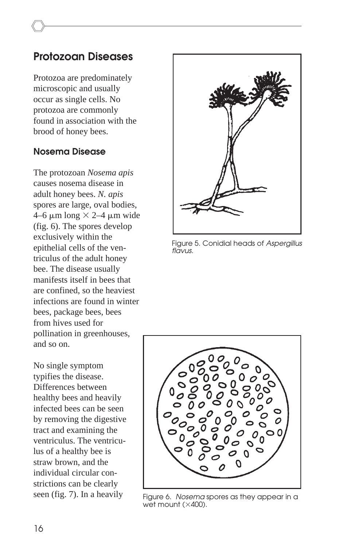### **Protozoan Diseases**

Protozoa are predominately microscopic and usually occur as single cells. No protozoa are commonly found in association with the brood of honey bees.

#### **Nosema Disease**

The protozoan *Nosema apis* causes nosema disease in adult honey bees. *N. apis* spores are large, oval bodies,  $4-6 \mu m \text{ long} \times 2-4 \mu m \text{ wide}$ (fig. 6). The spores develop exclusively within the epithelial cells of the ventriculus of the adult honey bee. The disease usually manifests itself in bees that are confined, so the heaviest infections are found in winter bees, package bees, bees from hives used for pollination in greenhouses, and so on.

No single symptom typifies the disease. Differences between healthy bees and heavily infected bees can be seen by removing the digestive tract and examining the ventriculus. The ventriculus of a healthy bee is straw brown, and the individual circular constrictions can be clearly seen (fig. 7). In a heavily



Figure 5. Conidial heads of Aspergillus flavus.



Figure 6. Nosema spores as they appear in a wet mount ( $\times$ 400).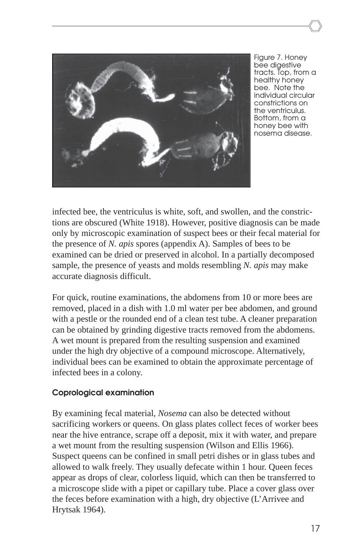

Figure 7. Honey bee digestive tracts. Top, from a healthy honey bee. Note the individual circular constrictions on the ventriculus. Bottom, from a honey bee with nosema disease.

infected bee, the ventriculus is white, soft, and swollen, and the constrictions are obscured (White 1918). However, positive diagnosis can be made only by microscopic examination of suspect bees or their fecal material for the presence of *N. apis* spores (appendix A). Samples of bees to be examined can be dried or preserved in alcohol. In a partially decomposed sample, the presence of yeasts and molds resembling *N. apis* may make accurate diagnosis difficult.

For quick, routine examinations, the abdomens from 10 or more bees are removed, placed in a dish with 1.0 ml water per bee abdomen, and ground with a pestle or the rounded end of a clean test tube. A cleaner preparation can be obtained by grinding digestive tracts removed from the abdomens. A wet mount is prepared from the resulting suspension and examined under the high dry objective of a compound microscope. Alternatively, individual bees can be examined to obtain the approximate percentage of infected bees in a colony.

#### **Coprological examination**

By examining fecal material, *Nosema* can also be detected without sacrificing workers or queens. On glass plates collect feces of worker bees near the hive entrance, scrape off a deposit, mix it with water, and prepare a wet mount from the resulting suspension (Wilson and Ellis 1966). Suspect queens can be confined in small petri dishes or in glass tubes and allowed to walk freely. They usually defecate within 1 hour. Queen feces appear as drops of clear, colorless liquid, which can then be transferred to a microscope slide with a pipet or capillary tube. Place a cover glass over the feces before examination with a high, dry objective (L'Arrivee and Hrytsak 1964).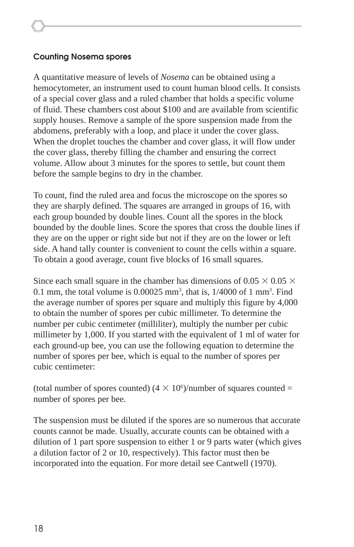#### **Counting Nosema spores**

A quantitative measure of levels of *Nosema* can be obtained using a hemocytometer, an instrument used to count human blood cells. It consists of a special cover glass and a ruled chamber that holds a specific volume of fluid. These chambers cost about \$100 and are available from scientific supply houses. Remove a sample of the spore suspension made from the abdomens, preferably with a loop, and place it under the cover glass. When the droplet touches the chamber and cover glass, it will flow under the cover glass, thereby filling the chamber and ensuring the correct volume. Allow about 3 minutes for the spores to settle, but count them before the sample begins to dry in the chamber.

To count, find the ruled area and focus the microscope on the spores so they are sharply defined. The squares are arranged in groups of 16, with each group bounded by double lines. Count all the spores in the block bounded by the double lines. Score the spores that cross the double lines if they are on the upper or right side but not if they are on the lower or left side. A hand tally counter is convenient to count the cells within a square. To obtain a good average, count five blocks of 16 small squares.

Since each small square in the chamber has dimensions of  $0.05 \times 0.05 \times$ 0.1 mm, the total volume is  $0.00025$  mm<sup>3</sup>, that is,  $1/4000$  of 1 mm<sup>3</sup>. Find the average number of spores per square and multiply this figure by 4,000 to obtain the number of spores per cubic millimeter. To determine the number per cubic centimeter (milliliter), multiply the number per cubic millimeter by 1,000. If you started with the equivalent of 1 ml of water for each ground-up bee, you can use the following equation to determine the number of spores per bee, which is equal to the number of spores per cubic centimeter:

(total number of spores counted)  $(4 \times 10^6)$ /number of squares counted = number of spores per bee.

The suspension must be diluted if the spores are so numerous that accurate counts cannot be made. Usually, accurate counts can be obtained with a dilution of 1 part spore suspension to either 1 or 9 parts water (which gives a dilution factor of 2 or 10, respectively). This factor must then be incorporated into the equation. For more detail see Cantwell (1970).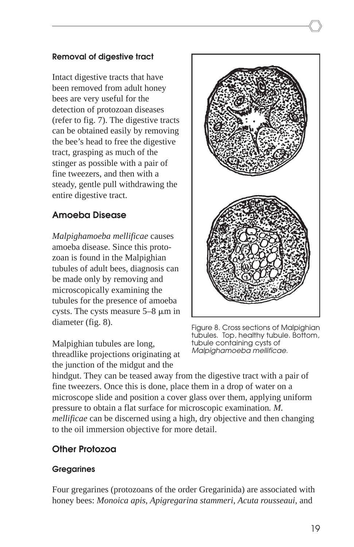#### **Removal of digestive tract**

Intact digestive tracts that have been removed from adult honey bees are very useful for the detection of protozoan diseases (refer to fig. 7). The digestive tracts can be obtained easily by removing the bee's head to free the digestive tract, grasping as much of the stinger as possible with a pair of fine tweezers, and then with a steady, gentle pull withdrawing the entire digestive tract.

### **Amoeba Disease**

*Malpighamoeba mellificae* causes amoeba disease. Since this protozoan is found in the Malpighian tubules of adult bees, diagnosis can be made only by removing and microscopically examining the tubules for the presence of amoeba cysts. The cysts measure  $5-8 \mu m$  in diameter (fig. 8).

Malpighian tubules are long, threadlike projections originating at the junction of the midgut and the



Figure 8. Cross sections of Malpighian tubules. Top, healthy tubule. Bottom, tubule containing cysts of Malpighamoeba mellificae.

hindgut. They can be teased away from the digestive tract with a pair of fine tweezers. Once this is done, place them in a drop of water on a microscope slide and position a cover glass over them, applying uniform pressure to obtain a flat surface for microscopic examination*. M. mellificae* can be discerned using a high, dry objective and then changing to the oil immersion objective for more detail.

### **Other Protozoa**

### **Gregarines**

Four gregarines (protozoans of the order Gregarinida) are associated with honey bees: *Monoica apis*, *Apigregarina stammeri*, *Acuta rousseaui*, and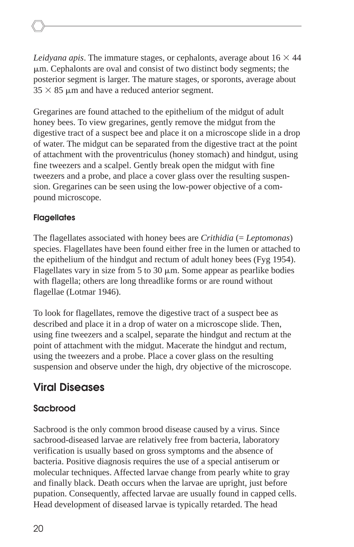Leidyana apis. The immature stages, or cephalonts, average about  $16 \times 44$  $\mu$ m. Cephalonts are oval and consist of two distinct body segments; the posterior segment is larger. The mature stages, or sporonts, average about  $35 \times 85$  µm and have a reduced anterior segment.

Gregarines are found attached to the epithelium of the midgut of adult honey bees. To view gregarines, gently remove the midgut from the digestive tract of a suspect bee and place it on a microscope slide in a drop of water. The midgut can be separated from the digestive tract at the point of attachment with the proventriculus (honey stomach) and hindgut, using fine tweezers and a scalpel. Gently break open the midgut with fine tweezers and a probe, and place a cover glass over the resulting suspension. Gregarines can be seen using the low-power objective of a compound microscope.

#### **Flagellates**

The flagellates associated with honey bees are *Crithidia* (= *Leptomonas*) species. Flagellates have been found either free in the lumen or attached to the epithelium of the hindgut and rectum of adult honey bees (Fyg 1954). Flagellates vary in size from 5 to 30  $\mu$ m. Some appear as pearlike bodies with flagella; others are long threadlike forms or are round without flagellae (Lotmar 1946).

To look for flagellates, remove the digestive tract of a suspect bee as described and place it in a drop of water on a microscope slide. Then, using fine tweezers and a scalpel, separate the hindgut and rectum at the point of attachment with the midgut. Macerate the hindgut and rectum, using the tweezers and a probe. Place a cover glass on the resulting suspension and observe under the high, dry objective of the microscope.

### **Viral Diseases**

### **Sacbrood**

Sacbrood is the only common brood disease caused by a virus. Since sacbrood-diseased larvae are relatively free from bacteria, laboratory verification is usually based on gross symptoms and the absence of bacteria. Positive diagnosis requires the use of a special antiserum or molecular techniques. Affected larvae change from pearly white to gray and finally black. Death occurs when the larvae are upright, just before pupation. Consequently, affected larvae are usually found in capped cells. Head development of diseased larvae is typically retarded. The head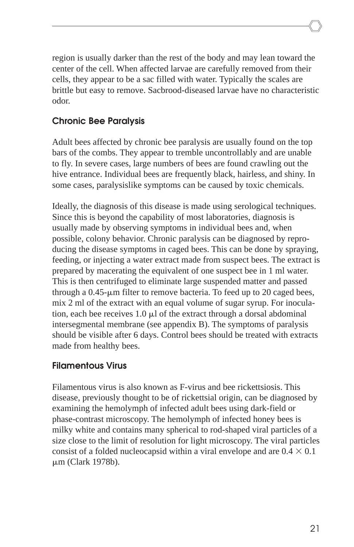region is usually darker than the rest of the body and may lean toward the center of the cell. When affected larvae are carefully removed from their cells, they appear to be a sac filled with water. Typically the scales are brittle but easy to remove. Sacbrood-diseased larvae have no characteristic odor.

### **Chronic Bee Paralysis**

Adult bees affected by chronic bee paralysis are usually found on the top bars of the combs. They appear to tremble uncontrollably and are unable to fly. In severe cases, large numbers of bees are found crawling out the hive entrance. Individual bees are frequently black, hairless, and shiny. In some cases, paralysislike symptoms can be caused by toxic chemicals.

Ideally, the diagnosis of this disease is made using serological techniques. Since this is beyond the capability of most laboratories, diagnosis is usually made by observing symptoms in individual bees and, when possible, colony behavior. Chronic paralysis can be diagnosed by reproducing the disease symptoms in caged bees. This can be done by spraying, feeding, or injecting a water extract made from suspect bees. The extract is prepared by macerating the equivalent of one suspect bee in 1 ml water. This is then centrifuged to eliminate large suspended matter and passed through a  $0.45$ - $\mu$ m filter to remove bacteria. To feed up to 20 caged bees, mix 2 ml of the extract with an equal volume of sugar syrup. For inoculation, each bee receives  $1.0 \mu$  of the extract through a dorsal abdominal intersegmental membrane (see appendix B). The symptoms of paralysis should be visible after 6 days. Control bees should be treated with extracts made from healthy bees.

### **Filamentous Virus**

Filamentous virus is also known as F-virus and bee rickettsiosis. This disease, previously thought to be of rickettsial origin, can be diagnosed by examining the hemolymph of infected adult bees using dark-field or phase-contrast microscopy. The hemolymph of infected honey bees is milky white and contains many spherical to rod-shaped viral particles of a size close to the limit of resolution for light microscopy. The viral particles consist of a folded nucleocapsid within a viral envelope and are  $0.4 \times 0.1$ m (Clark 1978b).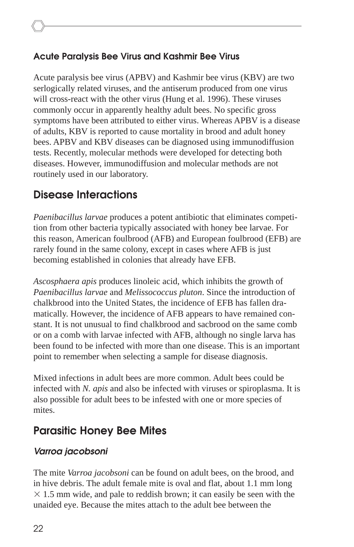### **Acute Paralysis Bee Virus and Kashmir Bee Virus**

Acute paralysis bee virus (APBV) and Kashmir bee virus (KBV) are two serlogically related viruses, and the antiserum produced from one virus will cross-react with the other virus (Hung et al. 1996). These viruses commonly occur in apparently healthy adult bees. No specific gross symptoms have been attributed to either virus. Whereas APBV is a disease of adults, KBV is reported to cause mortality in brood and adult honey bees. APBV and KBV diseases can be diagnosed using immunodiffusion tests. Recently, molecular methods were developed for detecting both diseases. However, immunodiffusion and molecular methods are not routinely used in our laboratory.

### **Disease Interactions**

*Paenibacillus larvae* produces a potent antibiotic that eliminates competition from other bacteria typically associated with honey bee larvae. For this reason, American foulbrood (AFB) and European foulbrood (EFB) are rarely found in the same colony, except in cases where AFB is just becoming established in colonies that already have EFB.

*Ascosphaera apis* produces linoleic acid, which inhibits the growth of *Paenibacillus larvae* and *Melissococcus pluton*. Since the introduction of chalkbrood into the United States, the incidence of EFB has fallen dramatically. However, the incidence of AFB appears to have remained constant. It is not unusual to find chalkbrood and sacbrood on the same comb or on a comb with larvae infected with AFB, although no single larva has been found to be infected with more than one disease. This is an important point to remember when selecting a sample for disease diagnosis.

Mixed infections in adult bees are more common. Adult bees could be infected with *N. apis* and also be infected with viruses or spiroplasma. It is also possible for adult bees to be infested with one or more species of mites.

### **Parasitic Honey Bee Mites**

### **Varroa jacobsoni**

The mite *Varroa jacobsoni* can be found on adult bees, on the brood, and in hive debris. The adult female mite is oval and flat, about 1.1 mm long  $\times$  1.5 mm wide, and pale to reddish brown; it can easily be seen with the unaided eye. Because the mites attach to the adult bee between the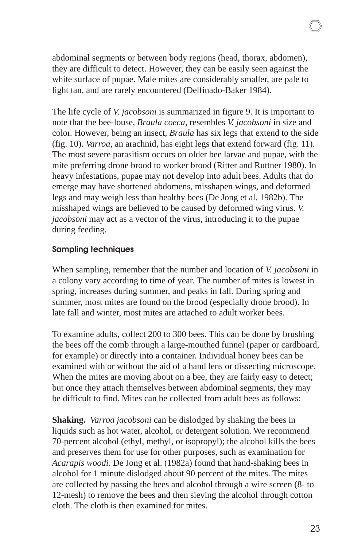abdominal segments or between body regions (head, thorax, abdomen), they are difficult to detect. However, they can be easily seen against the white surface of pupae. Male mites are considerably smaller, are pale to light tan, and are rarely encountered (Delfinado-Baker 1984).

The life cycle of *V. jacobsoni* is summarized in figure 9. It is important to note that the bee-louse, *Braula coeca*, resembles *V. jacobsoni* in size and color. However, being an insect, *Braula* has six legs that extend to the side (fig. 10). *Varroa*, an arachnid, has eight legs that extend forward (fig. 11). The most severe parasitism occurs on older bee larvae and pupae, with the mite preferring drone brood to worker brood (Ritter and Ruttner 1980). In heavy infestations, pupae may not develop into adult bees. Adults that do emerge may have shortened abdomens, misshapen wings, and deformed legs and may weigh less than healthy bees (De Jong et al. 1982b). The misshaped wings are believed to be caused by deformed wing virus. *V. jacobsoni* may act as a vector of the virus, introducing it to the pupae during feeding.

#### **Sampling techniques**

When sampling, remember that the number and location of *V. jacobsoni* in a colony vary according to time of year. The number of mites is lowest in spring, increases during summer, and peaks in fall. During spring and summer, most mites are found on the brood (especially drone brood). In late fall and winter, most mites are attached to adult worker bees.

To examine adults, collect 200 to 300 bees. This can be done by brushing the bees off the comb through a large-mouthed funnel (paper or cardboard, for example) or directly into a container. Individual honey bees can be examined with or without the aid of a hand lens or dissecting microscope. When the mites are moving about on a bee, they are fairly easy to detect; but once they attach themselves between abdominal segments, they may be difficult to find. Mites can be collected from adult bees as follows:

**Shaking.** *Varroa jacobsoni* can be dislodged by shaking the bees in liquids such as hot water, alcohol, or detergent solution. We recommend 70-percent alcohol (ethyl, methyl, or isopropyl); the alcohol kills the bees and preserves them for use for other purposes, such as examination for *Acarapis woodi*. De Jong et al. (1982a) found that hand-shaking bees in alcohol for 1 minute dislodged about 90 percent of the mites. The mites are collected by passing the bees and alcohol through a wire screen (8- to 12-mesh) to remove the bees and then sieving the alcohol through cotton cloth. The cloth is then examined for mites.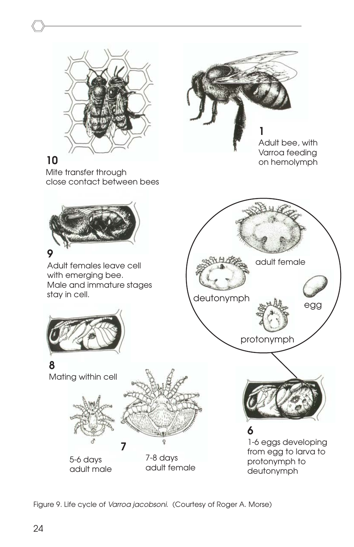

### **10**

**9**

stay in cell.

**8**

Mite transfer through close contact between bees



5-6 days adult male

Mating within cell

7-8 days adult female

protonymph to deutonymph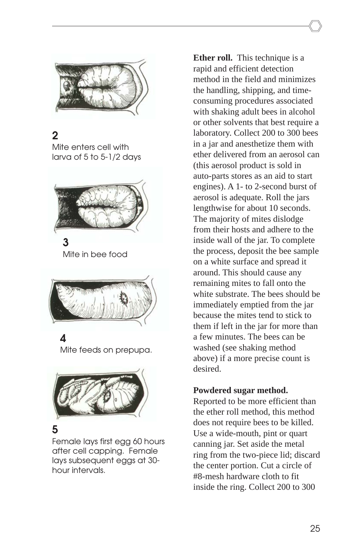

### **2**

Mite enters cell with larva of 5 to 5-1/2 days



**3** Mite in bee food



### **4**

Mite feeds on prepupa.



### **5**

Female lays first egg 60 hours after cell capping. Female lays subsequent eggs at 30 hour intervals.

**Ether roll.** This technique is a rapid and efficient detection method in the field and minimizes the handling, shipping, and timeconsuming procedures associated with shaking adult bees in alcohol or other solvents that best require a laboratory. Collect 200 to 300 bees in a jar and anesthetize them with ether delivered from an aerosol can (this aerosol product is sold in auto-parts stores as an aid to start engines). A 1- to 2-second burst of aerosol is adequate. Roll the jars lengthwise for about 10 seconds. The majority of mites dislodge from their hosts and adhere to the inside wall of the jar. To complete the process, deposit the bee sample on a white surface and spread it around. This should cause any remaining mites to fall onto the white substrate. The bees should be immediately emptied from the jar because the mites tend to stick to them if left in the jar for more than a few minutes. The bees can be washed (see shaking method above) if a more precise count is desired.

#### **Powdered sugar method.**

Reported to be more efficient than the ether roll method, this method does not require bees to be killed. Use a wide-mouth, pint or quart canning jar. Set aside the metal ring from the two-piece lid; discard the center portion. Cut a circle of #8-mesh hardware cloth to fit inside the ring. Collect 200 to 300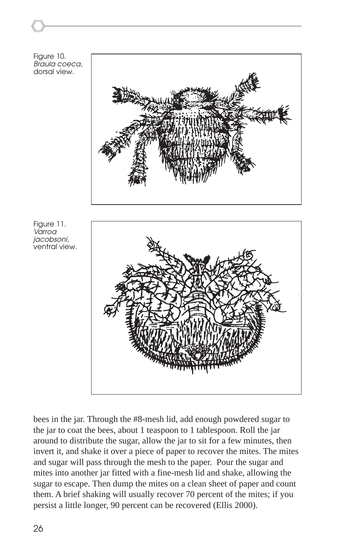

bees in the jar. Through the #8-mesh lid, add enough powdered sugar to the jar to coat the bees, about 1 teaspoon to 1 tablespoon. Roll the jar around to distribute the sugar, allow the jar to sit for a few minutes, then invert it, and shake it over a piece of paper to recover the mites. The mites and sugar will pass through the mesh to the paper. Pour the sugar and mites into another jar fitted with a fine-mesh lid and shake, allowing the sugar to escape. Then dump the mites on a clean sheet of paper and count them. A brief shaking will usually recover 70 percent of the mites; if you persist a little longer, 90 percent can be recovered (Ellis 2000).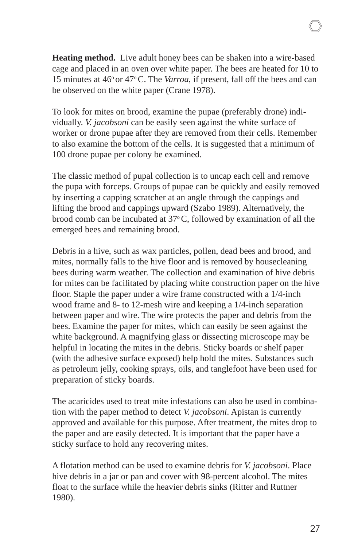**Heating method.** Live adult honey bees can be shaken into a wire-based cage and placed in an oven over white paper. The bees are heated for 10 to 15 minutes at 46° or 47° C. The *Varroa*, if present, fall off the bees and can be observed on the white paper (Crane 1978).

To look for mites on brood, examine the pupae (preferably drone) individually. *V. jacobsoni* can be easily seen against the white surface of worker or drone pupae after they are removed from their cells. Remember to also examine the bottom of the cells. It is suggested that a minimum of 100 drone pupae per colony be examined.

The classic method of pupal collection is to uncap each cell and remove the pupa with forceps. Groups of pupae can be quickly and easily removed by inserting a capping scratcher at an angle through the cappings and lifting the brood and cappings upward (Szabo 1989). Alternatively, the brood comb can be incubated at  $37^{\circ}$ C, followed by examination of all the emerged bees and remaining brood.

Debris in a hive, such as wax particles, pollen, dead bees and brood, and mites, normally falls to the hive floor and is removed by housecleaning bees during warm weather. The collection and examination of hive debris for mites can be facilitated by placing white construction paper on the hive floor. Staple the paper under a wire frame constructed with a 1/4-inch wood frame and 8- to 12-mesh wire and keeping a 1/4-inch separation between paper and wire. The wire protects the paper and debris from the bees. Examine the paper for mites, which can easily be seen against the white background. A magnifying glass or dissecting microscope may be helpful in locating the mites in the debris. Sticky boards or shelf paper (with the adhesive surface exposed) help hold the mites. Substances such as petroleum jelly, cooking sprays, oils, and tanglefoot have been used for preparation of sticky boards.

The acaricides used to treat mite infestations can also be used in combination with the paper method to detect *V. jacobsoni*. Apistan is currently approved and available for this purpose. After treatment, the mites drop to the paper and are easily detected. It is important that the paper have a sticky surface to hold any recovering mites.

A flotation method can be used to examine debris for *V. jacobsoni*. Place hive debris in a jar or pan and cover with 98-percent alcohol. The mites float to the surface while the heavier debris sinks (Ritter and Ruttner 1980).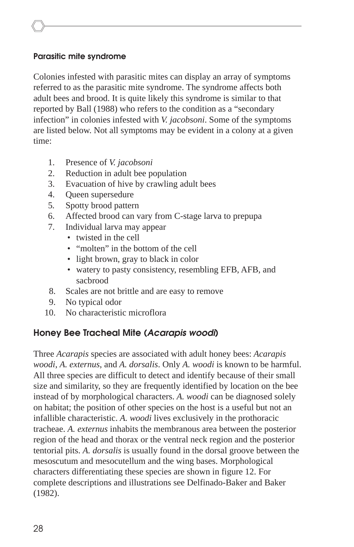#### **Parasitic mite syndrome**

Colonies infested with parasitic mites can display an array of symptoms referred to as the parasitic mite syndrome. The syndrome affects both adult bees and brood. It is quite likely this syndrome is similar to that reported by Ball (1988) who refers to the condition as a "secondary infection" in colonies infested with *V. jacobsoni*. Some of the symptoms are listed below. Not all symptoms may be evident in a colony at a given time:

- 1. Presence of *V. jacobsoni*
- 2. Reduction in adult bee population
- 3. Evacuation of hive by crawling adult bees
- 4. Queen supersedure
- 5*.* Spotty brood pattern
- 6. Affected brood can vary from C-stage larva to prepupa
- 7. Individual larva may appear
	- twisted in the cell
	- "molten" in the bottom of the cell
	- light brown, gray to black in color
	- watery to pasty consistency, resembling EFB, AFB, and sacbrood
- 8. Scales are not brittle and are easy to remove
- 9. No typical odor
- 10. No characteristic microflora

#### **Honey Bee Tracheal Mite (Acarapis woodi)**

Three *Acarapis* species are associated with adult honey bees: *Acarapis woodi*, *A. externus*, and *A. dorsalis*. Only *A. woodi* is known to be harmful. All three species are difficult to detect and identify because of their small size and similarity, so they are frequently identified by location on the bee instead of by morphological characters. *A. woodi* can be diagnosed solely on habitat; the position of other species on the host is a useful but not an infallible characteristic. *A. woodi* lives exclusively in the prothoracic tracheae. *A. externus* inhabits the membranous area between the posterior region of the head and thorax or the ventral neck region and the posterior tentorial pits. *A. dorsalis* is usually found in the dorsal groove between the mesoscutum and mesocutellum and the wing bases. Morphological characters differentiating these species are shown in figure 12. For complete descriptions and illustrations see Delfinado-Baker and Baker (1982).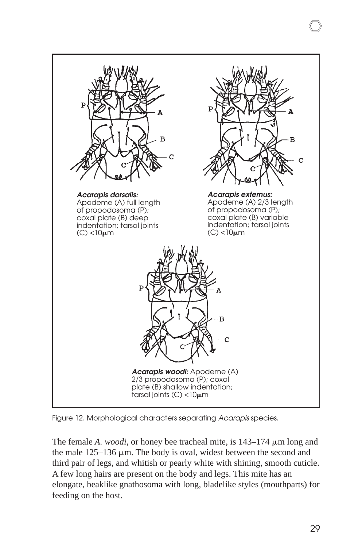

Figure 12. Morphological characters separating Acarapis species.

The female *A. woodi*, or honey bee tracheal mite, is 143–174  $\mu$ m long and the male  $125-136 \mu m$ . The body is oval, widest between the second and third pair of legs, and whitish or pearly white with shining, smooth cuticle. A few long hairs are present on the body and legs. This mite has an elongate, beaklike gnathosoma with long, bladelike styles (mouthparts) for feeding on the host.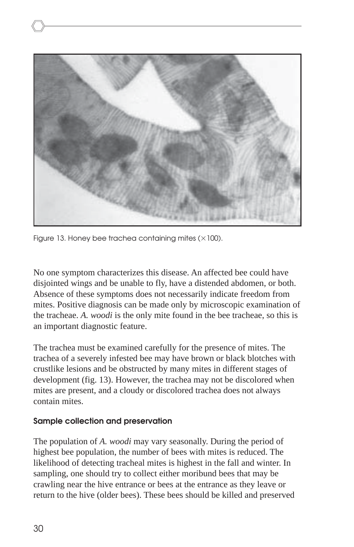

Figure 13. Honey bee trachea containing mites ( $\times$ 100).

No one symptom characterizes this disease. An affected bee could have disjointed wings and be unable to fly, have a distended abdomen, or both. Absence of these symptoms does not necessarily indicate freedom from mites. Positive diagnosis can be made only by microscopic examination of the tracheae. *A. woodi* is the only mite found in the bee tracheae, so this is an important diagnostic feature.

The trachea must be examined carefully for the presence of mites. The trachea of a severely infested bee may have brown or black blotches with crustlike lesions and be obstructed by many mites in different stages of development (fig. 13). However, the trachea may not be discolored when mites are present, and a cloudy or discolored trachea does not always contain mites.

#### **Sample collection and preservation**

The population of *A. woodi* may vary seasonally. During the period of highest bee population, the number of bees with mites is reduced. The likelihood of detecting tracheal mites is highest in the fall and winter. In sampling, one should try to collect either moribund bees that may be crawling near the hive entrance or bees at the entrance as they leave or return to the hive (older bees). These bees should be killed and preserved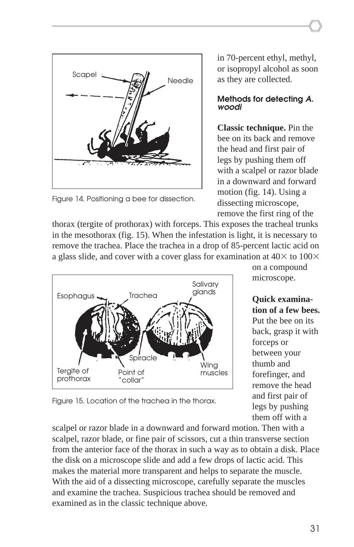

Figure 14. Positioning a bee for dissection.

in 70-percent ethyl, methyl, or isopropyl alcohol as soon as they are collected.

#### **Methods for detecting A. woodi**

**Classic technique.** Pin the bee on its back and remove the head and first pair of legs by pushing them off with a scalpel or razor blade in a downward and forward motion (fig. 14). Using a dissecting microscope, remove the first ring of the

thorax (tergite of prothorax) with forceps. This exposes the tracheal trunks in the mesothorax (fig. 15). When the infestation is light, it is necessary to remove the trachea. Place the trachea in a drop of 85-percent lactic acid on a glass slide, and cover with a cover glass for examination at  $40\times$  to  $100\times$ 



on a compound microscope.

**Quick examination of a few bees.** Put the bee on its back, grasp it with forceps or between your thumb and forefinger, and remove the head and first pair of legs by pushing them off with a

Figure 15. Location of the trachea in the thorax.

scalpel or razor blade in a downward and forward motion. Then with a scalpel, razor blade, or fine pair of scissors, cut a thin transverse section from the anterior face of the thorax in such a way as to obtain a disk. Place the disk on a microscope slide and add a few drops of lactic acid. This makes the material more transparent and helps to separate the muscle. With the aid of a dissecting microscope, carefully separate the muscles and examine the trachea. Suspicious trachea should be removed and examined as in the classic technique above.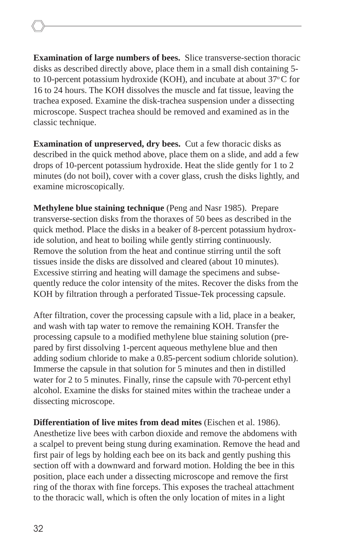**Examination of large numbers of bees.** Slice transverse-section thoracic disks as described directly above, place them in a small dish containing 5 to 10-percent potassium hydroxide (KOH), and incubate at about  $37^{\circ}$ C for 16 to 24 hours. The KOH dissolves the muscle and fat tissue, leaving the trachea exposed. Examine the disk-trachea suspension under a dissecting microscope. Suspect trachea should be removed and examined as in the classic technique.

**Examination of unpreserved, dry bees.** Cut a few thoracic disks as described in the quick method above, place them on a slide, and add a few drops of 10-percent potassium hydroxide. Heat the slide gently for 1 to 2 minutes (do not boil), cover with a cover glass, crush the disks lightly, and examine microscopically.

**Methylene blue staining technique** (Peng and Nasr 1985). Prepare transverse-section disks from the thoraxes of 50 bees as described in the quick method. Place the disks in a beaker of 8-percent potassium hydroxide solution, and heat to boiling while gently stirring continuously. Remove the solution from the heat and continue stirring until the soft tissues inside the disks are dissolved and cleared (about 10 minutes). Excessive stirring and heating will damage the specimens and subsequently reduce the color intensity of the mites. Recover the disks from the KOH by filtration through a perforated Tissue-Tek processing capsule.

After filtration, cover the processing capsule with a lid, place in a beaker, and wash with tap water to remove the remaining KOH. Transfer the processing capsule to a modified methylene blue staining solution (prepared by first dissolving 1-percent aqueous methylene blue and then adding sodium chloride to make a 0.85-percent sodium chloride solution). Immerse the capsule in that solution for 5 minutes and then in distilled water for 2 to 5 minutes. Finally, rinse the capsule with 70-percent ethyl alcohol. Examine the disks for stained mites within the tracheae under a dissecting microscope.

**Differentiation of live mites from dead mites** (Eischen et al. 1986). Anesthetize live bees with carbon dioxide and remove the abdomens with a scalpel to prevent being stung during examination. Remove the head and first pair of legs by holding each bee on its back and gently pushing this section off with a downward and forward motion. Holding the bee in this position, place each under a dissecting microscope and remove the first ring of the thorax with fine forceps. This exposes the tracheal attachment to the thoracic wall, which is often the only location of mites in a light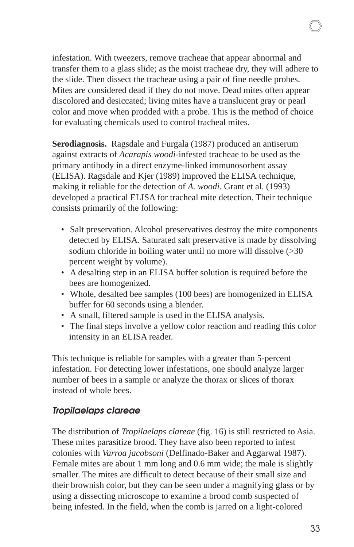infestation. With tweezers, remove tracheae that appear abnormal and transfer them to a glass slide; as the moist tracheae dry, they will adhere to the slide. Then dissect the tracheae using a pair of fine needle probes. Mites are considered dead if they do not move. Dead mites often appear discolored and desiccated; living mites have a translucent gray or pearl color and move when prodded with a probe. This is the method of choice for evaluating chemicals used to control tracheal mites.

**Serodiagnosis.** Ragsdale and Furgala (1987) produced an antiserum against extracts of *Acarapis woodi*-infested tracheae to be used as the primary antibody in a direct enzyme-linked immunosorbent assay (ELISA). Ragsdale and Kjer (1989) improved the ELISA technique, making it reliable for the detection of *A. woodi*. Grant et al. (1993) developed a practical ELISA for tracheal mite detection. Their technique consists primarily of the following:

- Salt preservation. Alcohol preservatives destroy the mite components detected by ELISA. Saturated salt preservative is made by dissolving sodium chloride in boiling water until no more will dissolve (>30 percent weight by volume).
- A desalting step in an ELISA buffer solution is required before the bees are homogenized.
- Whole, desalted bee samples (100 bees) are homogenized in ELISA buffer for 60 seconds using a blender.
- A small, filtered sample is used in the ELISA analysis.
- The final steps involve a yellow color reaction and reading this color intensity in an ELISA reader.

This technique is reliable for samples with a greater than 5-percent infestation. For detecting lower infestations, one should analyze larger number of bees in a sample or analyze the thorax or slices of thorax instead of whole bees.

### **Tropilaelaps clareae**

The distribution of *Tropilaelaps clareae* (fig. 16) is still restricted to Asia. These mites parasitize brood. They have also been reported to infest colonies with *Varroa jacobsoni* (Delfinado-Baker and Aggarwal 1987). Female mites are about 1 mm long and 0.6 mm wide; the male is slightly smaller. The mites are difficult to detect because of their small size and their brownish color, but they can be seen under a magnifying glass or by using a dissecting microscope to examine a brood comb suspected of being infested. In the field, when the comb is jarred on a light-colored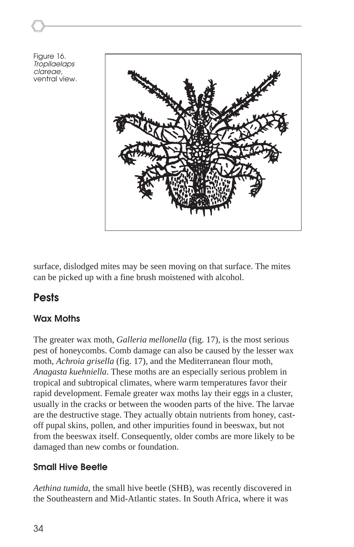Figure 16. Tropilaelaps clareae, ventral view.



surface, dislodged mites may be seen moving on that surface. The mites can be picked up with a fine brush moistened with alcohol.

### **Pests**

### **Wax Moths**

The greater wax moth, *Galleria mellonella* (fig. 17), is the most serious pest of honeycombs. Comb damage can also be caused by the lesser wax moth, *Achroia grisella* (fig. 17), and the Mediterranean flour moth, *Anagasta kuehniella*. These moths are an especially serious problem in tropical and subtropical climates, where warm temperatures favor their rapid development. Female greater wax moths lay their eggs in a cluster, usually in the cracks or between the wooden parts of the hive. The larvae are the destructive stage. They actually obtain nutrients from honey, castoff pupal skins, pollen, and other impurities found in beeswax, but not from the beeswax itself. Consequently, older combs are more likely to be damaged than new combs or foundation.

### **Small Hive Beetle**

*Aethina tumida*, the small hive beetle (SHB), was recently discovered in the Southeastern and Mid-Atlantic states. In South Africa, where it was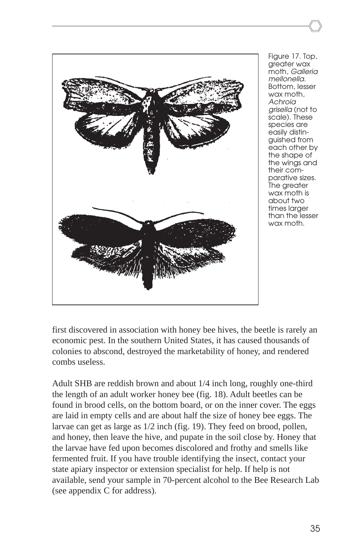

Figure 17. Top, greater wax moth, Galleria mellonella. Bottom, lesser wax moth, Achroia grisella (not to scale). These species are easily distinguished from each other by the shape of the wings and their comparative sizes. The greater wax moth is about two times larger than the lesser wax moth.

first discovered in association with honey bee hives, the beetle is rarely an economic pest. In the southern United States, it has caused thousands of colonies to abscond, destroyed the marketability of honey, and rendered combs useless.

Adult SHB are reddish brown and about 1/4 inch long, roughly one-third the length of an adult worker honey bee (fig. 18). Adult beetles can be found in brood cells, on the bottom board, or on the inner cover. The eggs are laid in empty cells and are about half the size of honey bee eggs. The larvae can get as large as 1/2 inch (fig. 19). They feed on brood, pollen, and honey, then leave the hive, and pupate in the soil close by. Honey that the larvae have fed upon becomes discolored and frothy and smells like fermented fruit. If you have trouble identifying the insect, contact your state apiary inspector or extension specialist for help. If help is not available, send your sample in 70-percent alcohol to the Bee Research Lab (see appendix C for address).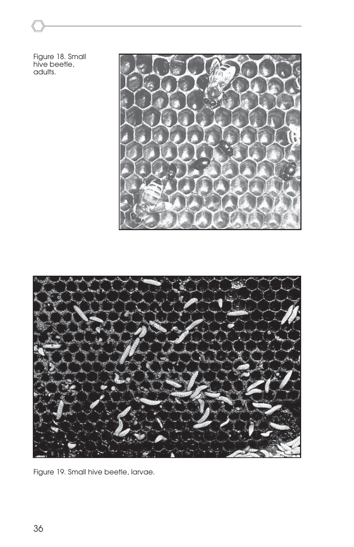Figure 18. Small hive beetle, adults.





Figure 19. Small hive beetle, larvae.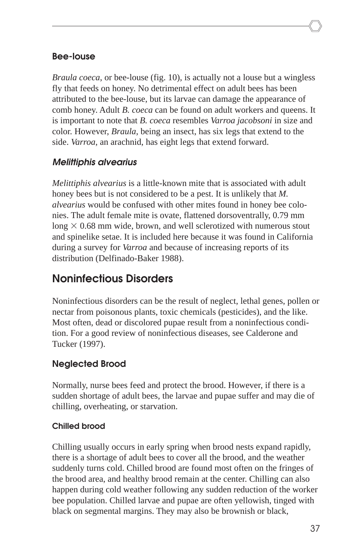#### **Bee-louse**

*Braula coeca*, or bee-louse (fig. 10), is actually not a louse but a wingless fly that feeds on honey. No detrimental effect on adult bees has been attributed to the bee-louse, but its larvae can damage the appearance of comb honey. Adult *B. coeca* can be found on adult workers and queens. It is important to note that *B. coeca* resembles *Varroa jacobsoni* in size and color. However, *Braula*, being an insect, has six legs that extend to the side. *Varroa*, an arachnid, has eight legs that extend forward.

#### **Melittiphis alvearius**

*Melittiphis alvearius* is a little-known mite that is associated with adult honey bees but is not considered to be a pest. It is unlikely that *M. alvearius* would be confused with other mites found in honey bee colonies. The adult female mite is ovate, flattened dorsoventrally, 0.79 mm long  $\times$  0.68 mm wide, brown, and well sclerotized with numerous stout and spinelike setae. It is included here because it was found in California during a survey for *Varroa* and because of increasing reports of its distribution (Delfinado-Baker 1988).

### **Noninfectious Disorders**

Noninfectious disorders can be the result of neglect, lethal genes, pollen or nectar from poisonous plants, toxic chemicals (pesticides), and the like. Most often, dead or discolored pupae result from a noninfectious condition. For a good review of noninfectious diseases, see Calderone and Tucker (1997).

### **Neglected Brood**

Normally, nurse bees feed and protect the brood. However, if there is a sudden shortage of adult bees, the larvae and pupae suffer and may die of chilling, overheating, or starvation.

#### **Chilled brood**

Chilling usually occurs in early spring when brood nests expand rapidly, there is a shortage of adult bees to cover all the brood, and the weather suddenly turns cold. Chilled brood are found most often on the fringes of the brood area, and healthy brood remain at the center. Chilling can also happen during cold weather following any sudden reduction of the worker bee population. Chilled larvae and pupae are often yellowish, tinged with black on segmental margins. They may also be brownish or black,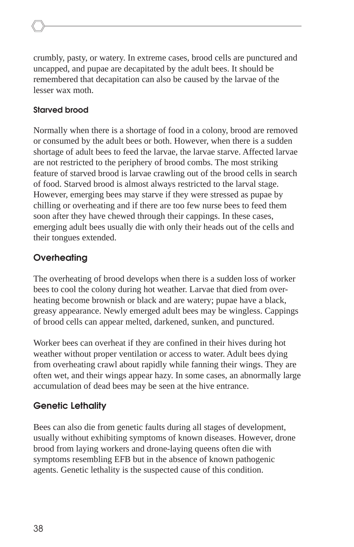crumbly, pasty, or watery. In extreme cases, brood cells are punctured and uncapped, and pupae are decapitated by the adult bees. It should be remembered that decapitation can also be caused by the larvae of the lesser wax moth.

#### **Starved brood**

Normally when there is a shortage of food in a colony, brood are removed or consumed by the adult bees or both. However, when there is a sudden shortage of adult bees to feed the larvae, the larvae starve. Affected larvae are not restricted to the periphery of brood combs. The most striking feature of starved brood is larvae crawling out of the brood cells in search of food. Starved brood is almost always restricted to the larval stage. However, emerging bees may starve if they were stressed as pupae by chilling or overheating and if there are too few nurse bees to feed them soon after they have chewed through their cappings. In these cases, emerging adult bees usually die with only their heads out of the cells and their tongues extended.

### **Overheating**

The overheating of brood develops when there is a sudden loss of worker bees to cool the colony during hot weather. Larvae that died from overheating become brownish or black and are watery; pupae have a black, greasy appearance. Newly emerged adult bees may be wingless. Cappings of brood cells can appear melted, darkened, sunken, and punctured.

Worker bees can overheat if they are confined in their hives during hot weather without proper ventilation or access to water. Adult bees dying from overheating crawl about rapidly while fanning their wings. They are often wet, and their wings appear hazy. In some cases, an abnormally large accumulation of dead bees may be seen at the hive entrance.

### **Genetic Lethality**

Bees can also die from genetic faults during all stages of development, usually without exhibiting symptoms of known diseases. However, drone brood from laying workers and drone-laying queens often die with symptoms resembling EFB but in the absence of known pathogenic agents. Genetic lethality is the suspected cause of this condition.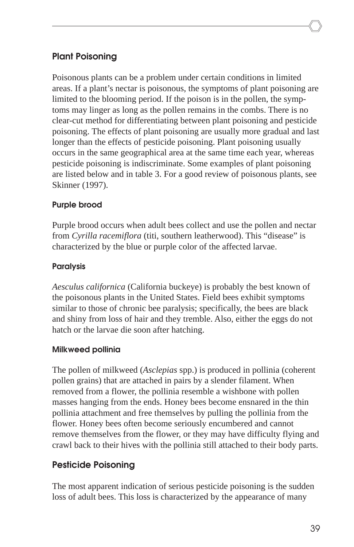### **Plant Poisoning**

Poisonous plants can be a problem under certain conditions in limited areas. If a plant's nectar is poisonous, the symptoms of plant poisoning are limited to the blooming period. If the poison is in the pollen, the symptoms may linger as long as the pollen remains in the combs. There is no clear-cut method for differentiating between plant poisoning and pesticide poisoning. The effects of plant poisoning are usually more gradual and last longer than the effects of pesticide poisoning. Plant poisoning usually occurs in the same geographical area at the same time each year, whereas pesticide poisoning is indiscriminate. Some examples of plant poisoning are listed below and in table 3. For a good review of poisonous plants, see Skinner (1997).

#### **Purple brood**

Purple brood occurs when adult bees collect and use the pollen and nectar from *Cyrilla racemiflora* (titi, southern leatherwood). This "disease" is characterized by the blue or purple color of the affected larvae.

#### **Paralysis**

*Aesculus californica* (California buckeye) is probably the best known of the poisonous plants in the United States. Field bees exhibit symptoms similar to those of chronic bee paralysis; specifically, the bees are black and shiny from loss of hair and they tremble. Also, either the eggs do not hatch or the larvae die soon after hatching.

#### **Milkweed pollinia**

The pollen of milkweed (*Asclepias* spp.) is produced in pollinia (coherent pollen grains) that are attached in pairs by a slender filament. When removed from a flower, the pollinia resemble a wishbone with pollen masses hanging from the ends. Honey bees become ensnared in the thin pollinia attachment and free themselves by pulling the pollinia from the flower. Honey bees often become seriously encumbered and cannot remove themselves from the flower, or they may have difficulty flying and crawl back to their hives with the pollinia still attached to their body parts.

### **Pesticide Poisoning**

The most apparent indication of serious pesticide poisoning is the sudden loss of adult bees. This loss is characterized by the appearance of many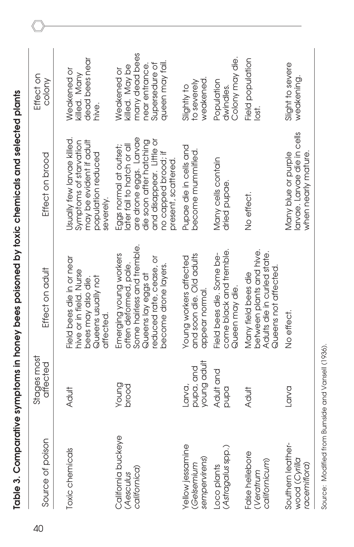| 40 | Source of poison                                   | Stages most<br>affected            | Effect on adult                                                                                                                                        | Effect on brood                                                                                                                                                                     | Effect on<br>colony                                                                                    |
|----|----------------------------------------------------|------------------------------------|--------------------------------------------------------------------------------------------------------------------------------------------------------|-------------------------------------------------------------------------------------------------------------------------------------------------------------------------------------|--------------------------------------------------------------------------------------------------------|
|    | Toxic chemicals                                    | Adult                              | Field bees die in or near<br>hive or in field. Nurse<br>Queens usually not<br>bees may also die.<br>affected                                           | Usually few larvae killed.<br>may be evident if adult<br>Symptoms of starvation<br>population reduced<br>severely                                                                   | dead bees near<br>Weakened or<br>killed. Many<br>hive.                                                 |
|    | California buckeye<br>californica)<br>(Aesculus    | Young<br>brood                     | Some hairless and tremble.<br>Emerging young workers<br>reduced rate, cease, or<br>often deformed, pale.<br>become drone layers.<br>Queens lay eggs at | are drone eggs. Larvae<br>and disappear. Little or<br>die soon after hatching<br>later fail to hatch or all<br>Eggs normal at outset;<br>no capped brood; if<br>present, scattered. | many dead bees<br>queen may fail.<br>Supersedure of<br>near entrance.<br>killed. May be<br>Weakened or |
|    | Yellow jessamine<br>(Gelsemium<br>sempervirens)    | young adult<br>pupa, and<br>Larva, | and soon die. Old adults<br>Young workers affected<br>appear normal                                                                                    | Pupae die in cells and<br>become mummified.                                                                                                                                         | weakened.<br>to severely<br>Slightly to                                                                |
|    | Loco plants<br>(As <i>tragalu</i> s spp.           | Adult and<br>pand                  | come black and tremble<br>Field bees die. Some be-<br>Queen may die                                                                                    | Many cells contain<br>dried pupae                                                                                                                                                   | Colony may die.<br>Population<br>dwindles.                                                             |
|    | False hellebore<br>californicum)<br>(Veratrum      | Adult                              | between plants and hive.<br>Adults die in curled state.<br>Queens not affected.<br>Many field bees die                                                 | No effect.                                                                                                                                                                          | Field population<br>lost.                                                                              |
|    | Southern leather-<br>wood (Cyrilla<br>racemiflora) | Larva                              | No effect.                                                                                                                                             | larvae. Larvae die in cells<br>when nearly mature.<br>Many blue or purple                                                                                                           | Slight to severe<br>weakening.                                                                         |

Source: Modified from Burnside and Vansell (1936).

Source: Modified from Burnside and Vansell (1936).

Table 3. Comparative symptoms in honey bees poisoned by toxic chemicals and selected plants **Table 3. Comparative symptoms in honey bees poisoned by toxic chemicals and selected plants**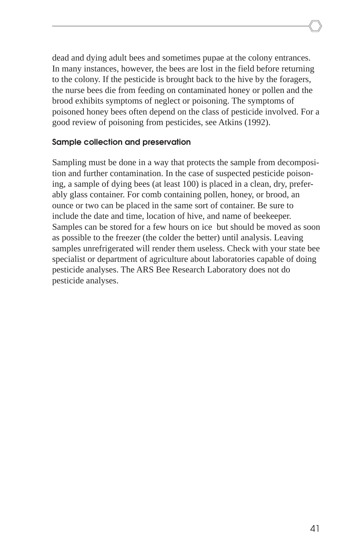dead and dying adult bees and sometimes pupae at the colony entrances. In many instances, however, the bees are lost in the field before returning to the colony. If the pesticide is brought back to the hive by the foragers, the nurse bees die from feeding on contaminated honey or pollen and the brood exhibits symptoms of neglect or poisoning. The symptoms of poisoned honey bees often depend on the class of pesticide involved. For a good review of poisoning from pesticides, see Atkins (1992).

#### **Sample collection and preservation**

Sampling must be done in a way that protects the sample from decomposition and further contamination. In the case of suspected pesticide poisoning, a sample of dying bees (at least 100) is placed in a clean, dry, preferably glass container. For comb containing pollen, honey, or brood, an ounce or two can be placed in the same sort of container. Be sure to include the date and time, location of hive, and name of beekeeper. Samples can be stored for a few hours on ice but should be moved as soon as possible to the freezer (the colder the better) until analysis. Leaving samples unrefrigerated will render them useless. Check with your state bee specialist or department of agriculture about laboratories capable of doing pesticide analyses. The ARS Bee Research Laboratory does not do pesticide analyses.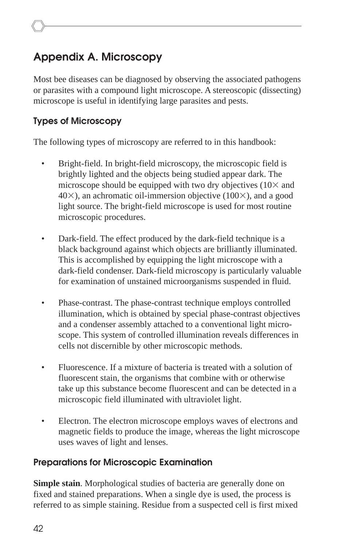## **Appendix A. Microscopy**

Most bee diseases can be diagnosed by observing the associated pathogens or parasites with a compound light microscope. A stereoscopic (dissecting) microscope is useful in identifying large parasites and pests.

### **Types of Microscopy**

The following types of microscopy are referred to in this handbook:

- Bright-field. In bright-field microscopy, the microscopic field is brightly lighted and the objects being studied appear dark. The microscope should be equipped with two dry objectives  $(10\times$  and  $40\times$ ), an achromatic oil-immersion objective (100 $\times$ ), and a good light source. The bright-field microscope is used for most routine microscopic procedures.
- Dark-field. The effect produced by the dark-field technique is a black background against which objects are brilliantly illuminated. This is accomplished by equipping the light microscope with a dark-field condenser. Dark-field microscopy is particularly valuable for examination of unstained microorganisms suspended in fluid.
- Phase-contrast. The phase-contrast technique employs controlled illumination, which is obtained by special phase-contrast objectives and a condenser assembly attached to a conventional light microscope. This system of controlled illumination reveals differences in cells not discernible by other microscopic methods.
- Fluorescence. If a mixture of bacteria is treated with a solution of fluorescent stain, the organisms that combine with or otherwise take up this substance become fluorescent and can be detected in a microscopic field illuminated with ultraviolet light.
- Electron. The electron microscope employs waves of electrons and magnetic fields to produce the image, whereas the light microscope uses waves of light and lenses.

### **Preparations for Microscopic Examination**

**Simple stain**. Morphological studies of bacteria are generally done on fixed and stained preparations. When a single dye is used, the process is referred to as simple staining. Residue from a suspected cell is first mixed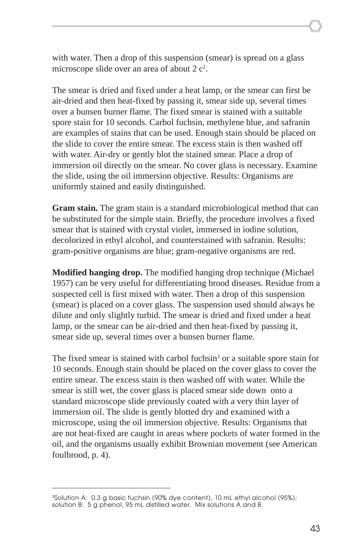with water. Then a drop of this suspension (smear) is spread on a glass microscope slide over an area of about  $2c^2$ .

The smear is dried and fixed under a heat lamp, or the smear can first be air-dried and then heat-fixed by passing it, smear side up, several times over a bunsen burner flame. The fixed smear is stained with a suitable spore stain for 10 seconds. Carbol fuchsin, methylene blue, and safranin are examples of stains that can be used. Enough stain should be placed on the slide to cover the entire smear. The excess stain is then washed off with water. Air-dry or gently blot the stained smear. Place a drop of immersion oil directly on the smear. No cover glass is necessary. Examine the slide, using the oil immersion objective. Results: Organisms are uniformly stained and easily distinguished.

**Gram stain.** The gram stain is a standard microbiological method that can be substituted for the simple stain. Briefly, the procedure involves a fixed smear that is stained with crystal violet, immersed in iodine solution, decolorized in ethyl alcohol, and counterstained with safranin. Results: gram-positive organisms are blue; gram-negative organisms are red.

**Modified hanging drop.** The modified hanging drop technique (Michael 1957) can be very useful for differentiating brood diseases. Residue from a suspected cell is first mixed with water. Then a drop of this suspension (smear) is placed on a cover glass. The suspension used should always be dilute and only slightly turbid. The smear is dried and fixed under a heat lamp, or the smear can be air-dried and then heat-fixed by passing it, smear side up, several times over a bunsen burner flame.

The fixed smear is stained with carbol fuchsin<sup>3</sup> or a suitable spore stain for 10 seconds. Enough stain should be placed on the cover glass to cover the entire smear. The excess stain is then washed off with water. While the smear is still wet, the cover glass is placed smear side down onto a standard microscope slide previously coated with a very thin layer of immersion oil. The slide is gently blotted dry and examined with a microscope, using the oil immersion objective. Results: Organisms that are not heat-fixed are caught in areas where pockets of water formed in the oil, and the organisms usually exhibit Brownian movement (see American foulbrood, p. 4).

<sup>&</sup>lt;sup>3</sup>Solution A: 0.3 g basic fuchsin (90% dye content), 10 mL ethyl alcohol (95%); solution B: 5 g phenol, 95 mL distilled water. Mix solutions A and B.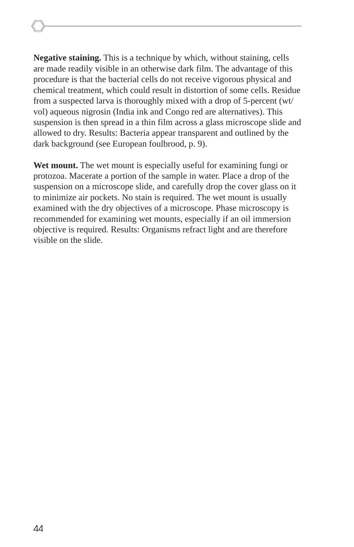**Negative staining.** This is a technique by which, without staining, cells are made readily visible in an otherwise dark film. The advantage of this procedure is that the bacterial cells do not receive vigorous physical and chemical treatment, which could result in distortion of some cells. Residue from a suspected larva is thoroughly mixed with a drop of 5-percent (wt/ vol) aqueous nigrosin (India ink and Congo red are alternatives). This suspension is then spread in a thin film across a glass microscope slide and allowed to dry. Results: Bacteria appear transparent and outlined by the dark background (see European foulbrood, p. 9).

**Wet mount.** The wet mount is especially useful for examining fungi or protozoa. Macerate a portion of the sample in water. Place a drop of the suspension on a microscope slide, and carefully drop the cover glass on it to minimize air pockets. No stain is required. The wet mount is usually examined with the dry objectives of a microscope. Phase microscopy is recommended for examining wet mounts, especially if an oil immersion objective is required. Results: Organisms refract light and are therefore visible on the slide.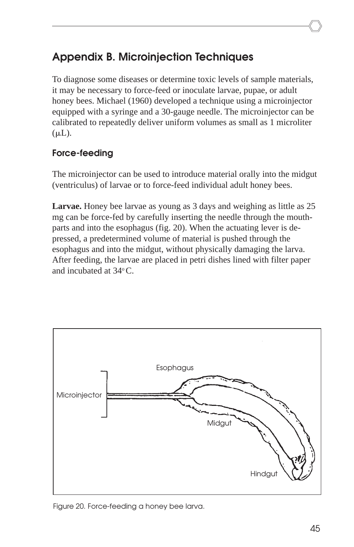## **Appendix B. Microinjection Techniques**

To diagnose some diseases or determine toxic levels of sample materials, it may be necessary to force-feed or inoculate larvae, pupae, or adult honey bees. Michael (1960) developed a technique using a microinjector equipped with a syringe and a 30-gauge needle. The microinjector can be calibrated to repeatedly deliver uniform volumes as small as 1 microliter  $(\mu L)$ .

### **Force-feeding**

The microinjector can be used to introduce material orally into the midgut (ventriculus) of larvae or to force-feed individual adult honey bees.

**Larvae.** Honey bee larvae as young as 3 days and weighing as little as 25 mg can be force-fed by carefully inserting the needle through the mouthparts and into the esophagus (fig. 20). When the actuating lever is depressed, a predetermined volume of material is pushed through the esophagus and into the midgut, without physically damaging the larva. After feeding, the larvae are placed in petri dishes lined with filter paper and incubated at 34o C.



Figure 20. Force-feeding a honey bee larva.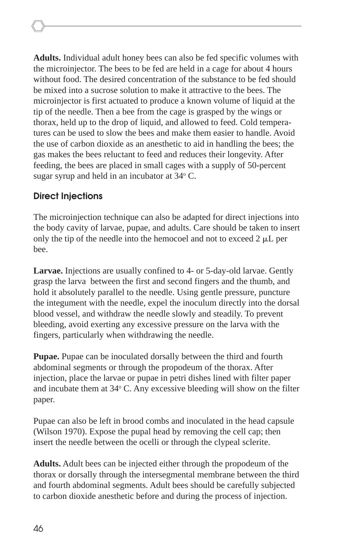**Adults.** Individual adult honey bees can also be fed specific volumes with the microinjector. The bees to be fed are held in a cage for about 4 hours without food. The desired concentration of the substance to be fed should be mixed into a sucrose solution to make it attractive to the bees. The microinjector is first actuated to produce a known volume of liquid at the tip of the needle. Then a bee from the cage is grasped by the wings or thorax, held up to the drop of liquid, and allowed to feed. Cold temperatures can be used to slow the bees and make them easier to handle. Avoid the use of carbon dioxide as an anesthetic to aid in handling the bees; the gas makes the bees reluctant to feed and reduces their longevity. After feeding, the bees are placed in small cages with a supply of 50-percent sugar syrup and held in an incubator at 34°C.

#### **Direct Injections**

The microinjection technique can also be adapted for direct injections into the body cavity of larvae, pupae, and adults. Care should be taken to insert only the tip of the needle into the hemocoel and not to exceed  $2 \mu L$  per bee.

**Larvae.** Injections are usually confined to 4- or 5-day-old larvae. Gently grasp the larva between the first and second fingers and the thumb, and hold it absolutely parallel to the needle. Using gentle pressure, puncture the integument with the needle, expel the inoculum directly into the dorsal blood vessel, and withdraw the needle slowly and steadily. To prevent bleeding, avoid exerting any excessive pressure on the larva with the fingers, particularly when withdrawing the needle.

**Pupae.** Pupae can be inoculated dorsally between the third and fourth abdominal segments or through the propodeum of the thorax. After injection, place the larvae or pupae in petri dishes lined with filter paper and incubate them at 34° C. Any excessive bleeding will show on the filter paper.

Pupae can also be left in brood combs and inoculated in the head capsule (Wilson 1970). Expose the pupal head by removing the cell cap; then insert the needle between the ocelli or through the clypeal sclerite.

**Adults.** Adult bees can be injected either through the propodeum of the thorax or dorsally through the intersegmental membrane between the third and fourth abdominal segments. Adult bees should be carefully subjected to carbon dioxide anesthetic before and during the process of injection.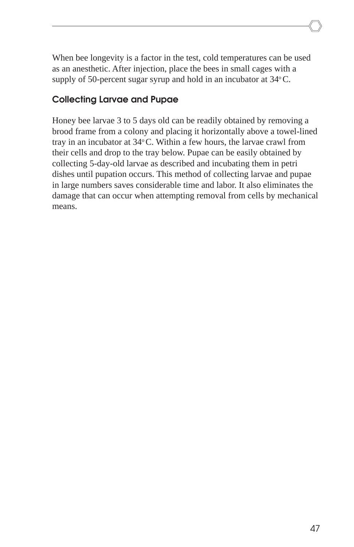When bee longevity is a factor in the test, cold temperatures can be used as an anesthetic. After injection, place the bees in small cages with a supply of 50-percent sugar syrup and hold in an incubator at  $34^{\circ}$ C.

### **Collecting Larvae and Pupae**

Honey bee larvae 3 to 5 days old can be readily obtained by removing a brood frame from a colony and placing it horizontally above a towel-lined tray in an incubator at  $34^{\circ}$ C. Within a few hours, the larvae crawl from their cells and drop to the tray below. Pupae can be easily obtained by collecting 5-day-old larvae as described and incubating them in petri dishes until pupation occurs. This method of collecting larvae and pupae in large numbers saves considerable time and labor. It also eliminates the damage that can occur when attempting removal from cells by mechanical means.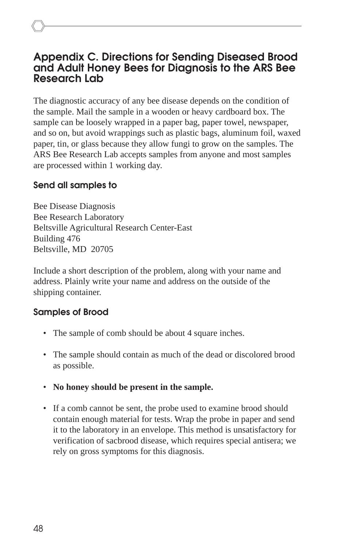### **Appendix C. Directions for Sending Diseased Brood and Adult Honey Bees for Diagnosis to the ARS Bee Research Lab**

The diagnostic accuracy of any bee disease depends on the condition of the sample. Mail the sample in a wooden or heavy cardboard box. The sample can be loosely wrapped in a paper bag, paper towel, newspaper, and so on, but avoid wrappings such as plastic bags, aluminum foil, waxed paper, tin, or glass because they allow fungi to grow on the samples. The ARS Bee Research Lab accepts samples from anyone and most samples are processed within 1 working day.

### **Send all samples to**

Bee Disease Diagnosis Bee Research Laboratory Beltsville Agricultural Research Center-East Building 476 Beltsville, MD 20705

Include a short description of the problem, along with your name and address. Plainly write your name and address on the outside of the shipping container.

### **Samples of Brood**

- The sample of comb should be about 4 square inches.
- The sample should contain as much of the dead or discolored brood as possible.
- **No honey should be present in the sample.**
- If a comb cannot be sent, the probe used to examine brood should contain enough material for tests. Wrap the probe in paper and send it to the laboratory in an envelope. This method is unsatisfactory for verification of sacbrood disease, which requires special antisera; we rely on gross symptoms for this diagnosis.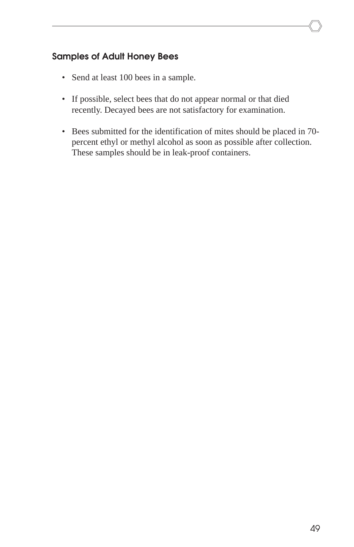### **Samples of Adult Honey Bees**

- Send at least 100 bees in a sample.
- If possible, select bees that do not appear normal or that died recently. Decayed bees are not satisfactory for examination.
- Bees submitted for the identification of mites should be placed in 70 percent ethyl or methyl alcohol as soon as possible after collection. These samples should be in leak-proof containers.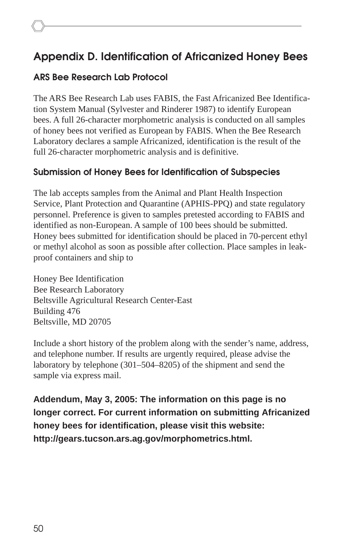### **Appendix D. Identification of Africanized Honey Bees**

### **ARS Bee Research Lab Protocol**

The ARS Bee Research Lab uses FABIS, the Fast Africanized Bee Identification System Manual (Sylvester and Rinderer 1987) to identify European bees. A full 26-character morphometric analysis is conducted on all samples of honey bees not verified as European by FABIS. When the Bee Research Laboratory declares a sample Africanized, identification is the result of the full 26-character morphometric analysis and is definitive.

### **Submission of Honey Bees for Identification of Subspecies**

The lab accepts samples from the Animal and Plant Health Inspection Service, Plant Protection and Quarantine (APHIS-PPQ) and state regulatory personnel. Preference is given to samples pretested according to FABIS and identified as non-European. A sample of 100 bees should be submitted. Honey bees submitted for identification should be placed in 70-percent ethyl or methyl alcohol as soon as possible after collection. Place samples in leakproof containers and ship to

Honey Bee Identification Bee Research Laboratory Beltsville Agricultural Research Center-East Building 476 Beltsville, MD 20705

Include a short history of the problem along with the sender's name, address, and telephone number. If results are urgently required, please advise the laboratory by telephone (301–504–8205) of the shipment and send the sample via express mail.

**Addendum, May 3, 2005: The information on this page is no longer correct. For current information on submitting Africanized honey bees for identification, please visit this website: http://gears.tucson.ars.ag.gov/morphometrics.html.**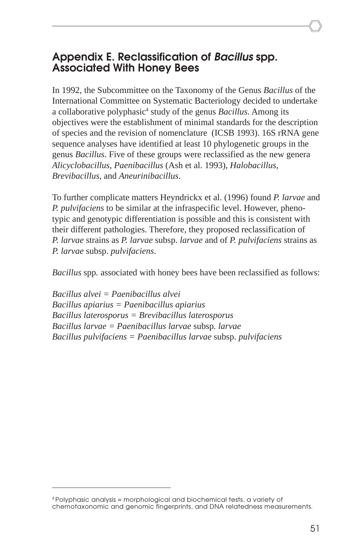### **Appendix E. Reclassification of Bacillus spp. Associated With Honey Bees**

In 1992, the Subcommittee on the Taxonomy of the Genus *Bacillus* of the International Committee on Systematic Bacteriology decided to undertake a collaborative polyphasic<sup>4</sup> study of the genus *Bacillus*. Among its objectives were the establishment of minimal standards for the description of species and the revision of nomenclature (ICSB 1993). 16S rRNA gene sequence analyses have identified at least 10 phylogenetic groups in the genus *Bacillus*. Five of these groups were reclassified as the new genera *Alicyclobacillus*, *Paenibacillus* (Ash et al. 1993), *Halobacillus*, *Brevibacillus*, and *Aneurinibacillus*.

To further complicate matters Heyndrickx et al. (1996) found *P. larvae* and *P. pulvifaciens* to be similar at the infraspecific level. However, phenotypic and genotypic differentiation is possible and this is consistent with their different pathologies. Therefore, they proposed reclassification of *P. larvae* strains as *P. larvae* subsp. *larvae* and of *P. pulvifaciens* strains as *P. larvae* subsp. *pulvifaciens*.

*Bacillus* spp*.* associated with honey bees have been reclassified as follows:

*Bacillus alvei = Paenibacillus alvei Bacillus apiarius = Paenibacillus apiarius Bacillus laterosporus = Brevibacillus laterosporus Bacillus larvae = Paenibacillus larvae* subsp*. larvae Bacillus pulvifaciens = Paenibacillus larvae* subsp. *pulvifaciens*

<sup>4</sup> Polyphasic analysis = morphological and biochemical tests, a variety of chemotaxonomic and genomic fingerprints, and DNA relatedness measurements.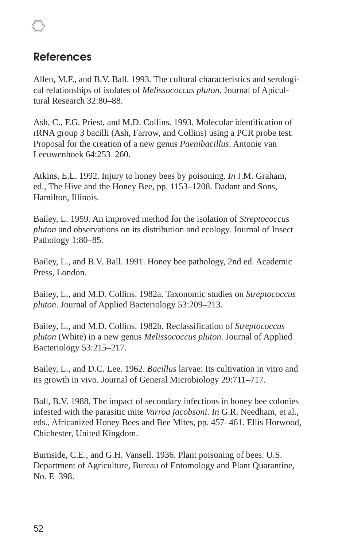### **References**

Allen, M.F., and B.V. Ball. 1993. The cultural characteristics and serological relationships of isolates of *Melissococcus pluton*. Journal of Apicultural Research 32:80–88.

Ash, C., F.G. Priest, and M.D. Collins. 1993. Molecular identification of rRNA group 3 bacilli (Ash, Farrow, and Collins) using a PCR probe test. Proposal for the creation of a new genus *Paenibacillus*. Antonie van Leeuwenhoek 64:253–260.

Atkins, E.L. 1992. Injury to honey bees by poisoning. *In* J.M. Graham, ed., The Hive and the Honey Bee, pp. 1153–1208. Dadant and Sons, Hamilton, Illinois.

Bailey, L. 1959. An improved method for the isolation of *Streptococcus pluton* and observations on its distribution and ecology. Journal of Insect Pathology 1:80–85.

Bailey, L., and B.V. Ball. 1991. Honey bee pathology, 2nd ed. Academic Press, London.

Bailey, L., and M.D. Collins. 1982a. Taxonomic studies on *Streptococcus pluton*. Journal of Applied Bacteriology 53:209–213.

Bailey, L., and M.D. Collins. 1982b. Reclassification of *Streptococcus pluton* (White) in a new genus *Melissococcus pluton*. Journal of Applied Bacteriology 53:215–217.

Bailey, L., and D.C. Lee. 1962. *Bacillus* larvae: Its cultivation in vitro and its growth in vivo. Journal of General Microbiology 29:711–717.

Ball, B.V. 1988. The impact of secondary infections in honey bee colonies infested with the parasitic mite *Varroa jacobsoni*. *In* G.R. Needham, et al., eds., Africanized Honey Bees and Bee Mites, pp. 457–461. Ellis Horwood, Chichester, United Kingdom.

Burnside, C.E., and G.H. Vansell. 1936. Plant poisoning of bees. U.S. Department of Agriculture, Bureau of Entomology and Plant Quarantine, No. E–398.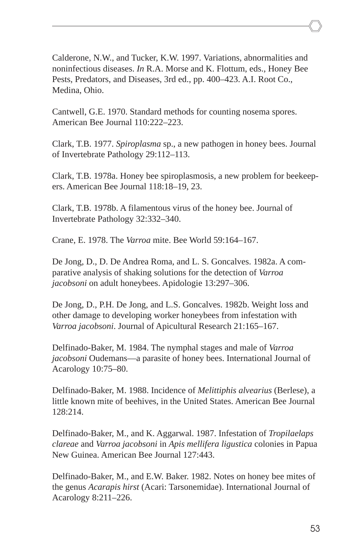Calderone, N.W., and Tucker, K.W. 1997. Variations, abnormalities and noninfectious diseases. *In* R.A. Morse and K. Flottum, eds., Honey Bee Pests, Predators, and Diseases, 3rd ed., pp. 400–423. A.I. Root Co., Medina, Ohio.

Cantwell, G.E. 1970. Standard methods for counting nosema spores. American Bee Journal 110:222–223.

Clark, T.B. 1977. *Spiroplasma* sp., a new pathogen in honey bees. Journal of Invertebrate Pathology 29:112–113.

Clark, T.B. 1978a. Honey bee spiroplasmosis, a new problem for beekeepers. American Bee Journal 118:18–19, 23.

Clark, T.B. 1978b. A filamentous virus of the honey bee. Journal of Invertebrate Pathology 32:332–340.

Crane, E. 1978. The *Varroa* mite. Bee World 59:164–167.

De Jong, D., D. De Andrea Roma, and L. S. Goncalves. 1982a. A comparative analysis of shaking solutions for the detection of *Varroa jacobsoni* on adult honeybees. Apidologie 13:297–306.

De Jong, D., P.H. De Jong, and L.S. Goncalves. 1982b. Weight loss and other damage to developing worker honeybees from infestation with *Varroa jacobsoni*. Journal of Apicultural Research 21:165–167.

Delfinado-Baker, M. 1984. The nymphal stages and male of *Varroa jacobsoni* Oudemans—a parasite of honey bees. International Journal of Acarology 10:75–80.

Delfinado-Baker, M. 1988. Incidence of *Melittiphis alvearius* (Berlese), a little known mite of beehives, in the United States. American Bee Journal 128:214.

Delfinado-Baker, M., and K. Aggarwal. 1987. Infestation of *Tropilaelaps clareae* and *Varroa jacobsoni* in *Apis mellifera ligustica* colonies in Papua New Guinea. American Bee Journal 127:443.

Delfinado-Baker, M., and E.W. Baker. 1982. Notes on honey bee mites of the genus *Acarapis hirst* (Acari: Tarsonemidae). International Journal of Acarology 8:211–226.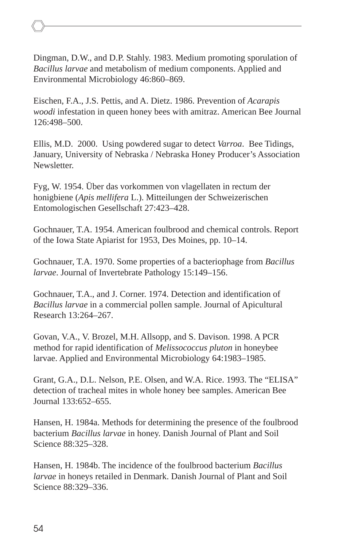Dingman, D.W., and D.P. Stahly. 1983. Medium promoting sporulation of *Bacillus larvae* and metabolism of medium components. Applied and Environmental Microbiology 46:860–869.

Eischen, F.A., J.S. Pettis, and A. Dietz. 1986. Prevention of *Acarapis woodi* infestation in queen honey bees with amitraz. American Bee Journal 126:498–500.

Ellis, M.D. 2000. Using powdered sugar to detect *Varroa*. Bee Tidings, January, University of Nebraska / Nebraska Honey Producer's Association Newsletter.

Fyg, W. 1954. Über das vorkommen von vlagellaten in rectum der honigbiene (*Apis mellifera* L.). Mitteilungen der Schweizerischen Entomologischen Gesellschaft 27:423–428.

Gochnauer, T.A. 1954. American foulbrood and chemical controls. Report of the Iowa State Apiarist for 1953, Des Moines, pp. 10–14.

Gochnauer, T.A. 1970. Some properties of a bacteriophage from *Bacillus larvae*. Journal of Invertebrate Pathology 15:149–156.

Gochnauer, T.A., and J. Corner. 1974. Detection and identification of *Bacillus larvae* in a commercial pollen sample. Journal of Apicultural Research 13:264–267.

Govan, V.A., V. Brozel, M.H. Allsopp, and S. Davison. 1998. A PCR method for rapid identification of *Melissococcus pluton* in honeybee larvae. Applied and Environmental Microbiology 64:1983–1985.

Grant, G.A., D.L. Nelson, P.E. Olsen, and W.A. Rice. 1993. The "ELISA" detection of tracheal mites in whole honey bee samples. American Bee Journal 133:652–655.

Hansen, H. 1984a. Methods for determining the presence of the foulbrood bacterium *Bacillus larvae* in honey. Danish Journal of Plant and Soil Science 88:325–328.

Hansen, H. 1984b. The incidence of the foulbrood bacterium *Bacillus larvae* in honeys retailed in Denmark. Danish Journal of Plant and Soil Science 88:329–336.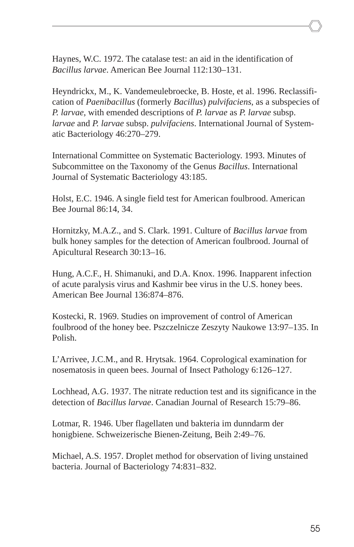Haynes, W.C. 1972. The catalase test: an aid in the identification of *Bacillus larvae*. American Bee Journal 112:130–131.

Heyndrickx, M., K. Vandemeulebroecke, B. Hoste, et al. 1996. Reclassification of *Paenibacillus* (formerly *Bacillus*) *pulvifaciens*, as a subspecies of *P. larvae*, with emended descriptions of *P. larvae* as *P. larvae* subsp. *larvae* and *P. larvae* subsp. *pulvifaciens*. International Journal of Systematic Bacteriology 46:270–279.

International Committee on Systematic Bacteriology. 1993. Minutes of Subcommittee on the Taxonomy of the Genus *Bacillus*. International Journal of Systematic Bacteriology 43:185.

Holst, E.C. 1946. A single field test for American foulbrood. American Bee Journal 86:14, 34.

Hornitzky, M.A.Z., and S. Clark. 1991. Culture of *Bacillus larvae* from bulk honey samples for the detection of American foulbrood. Journal of Apicultural Research 30:13–16.

Hung, A.C.F., H. Shimanuki, and D.A. Knox. 1996. Inapparent infection of acute paralysis virus and Kashmir bee virus in the U.S. honey bees. American Bee Journal 136:874–876.

Kostecki, R. 1969. Studies on improvement of control of American foulbrood of the honey bee. Pszczelnicze Zeszyty Naukowe 13:97–135. In Polish.

L'Arrivee, J.C.M., and R. Hrytsak. 1964. Coprological examination for nosematosis in queen bees. Journal of Insect Pathology 6:126–127.

Lochhead, A.G. 1937. The nitrate reduction test and its significance in the detection of *Bacillus larvae*. Canadian Journal of Research 15:79–86.

Lotmar, R. 1946. Uber flagellaten und bakteria im dunndarm der honigbiene. Schweizerische Bienen-Zeitung, Beih 2:49–76.

Michael, A.S. 1957. Droplet method for observation of living unstained bacteria. Journal of Bacteriology 74:831–832.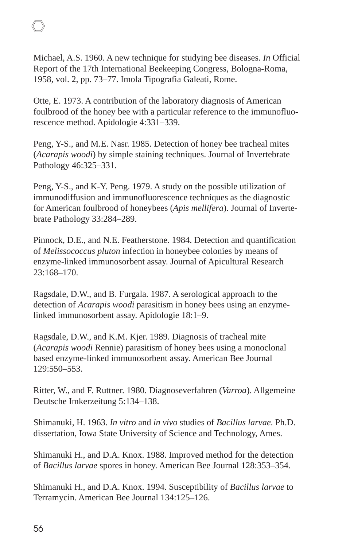Michael, A.S. 1960. A new technique for studying bee diseases. *In* Official Report of the 17th International Beekeeping Congress, Bologna-Roma, 1958, vol. 2, pp. 73–77. Imola Tipografia Galeati, Rome.

Otte, E. 1973. A contribution of the laboratory diagnosis of American foulbrood of the honey bee with a particular reference to the immunofluorescence method. Apidologie 4:331–339.

Peng, Y-S., and M.E. Nasr. 1985. Detection of honey bee tracheal mites (*Acarapis woodi*) by simple staining techniques. Journal of Invertebrate Pathology 46:325–331.

Peng, Y-S., and K-Y. Peng. 1979. A study on the possible utilization of immunodiffusion and immunofluorescence techniques as the diagnostic for American foulbrood of honeybees (*Apis mellifera*). Journal of Invertebrate Pathology 33:284–289.

Pinnock, D.E., and N.E. Featherstone. 1984. Detection and quantification of *Melissococcus pluton* infection in honeybee colonies by means of enzyme-linked immunosorbent assay. Journal of Apicultural Research 23:168–170.

Ragsdale, D.W., and B. Furgala. 1987. A serological approach to the detection of *Acarapis woodi* parasitism in honey bees using an enzymelinked immunosorbent assay. Apidologie 18:1–9.

Ragsdale, D.W., and K.M. Kjer. 1989. Diagnosis of tracheal mite (*Acarapis woodi* Rennie) parasitism of honey bees using a monoclonal based enzyme-linked immunosorbent assay. American Bee Journal 129:550–553.

Ritter, W., and F. Ruttner. 1980. Diagnoseverfahren (*Varroa*). Allgemeine Deutsche Imkerzeitung 5:134–138.

Shimanuki, H. 1963. *In vitro* and *in vivo* studies of *Bacillus larvae*. Ph.D. dissertation, Iowa State University of Science and Technology, Ames.

Shimanuki H., and D.A. Knox. 1988. Improved method for the detection of *Bacillus larvae* spores in honey. American Bee Journal 128:353–354.

Shimanuki H., and D.A. Knox. 1994. Susceptibility of *Bacillus larvae* to Terramycin. American Bee Journal 134:125–126.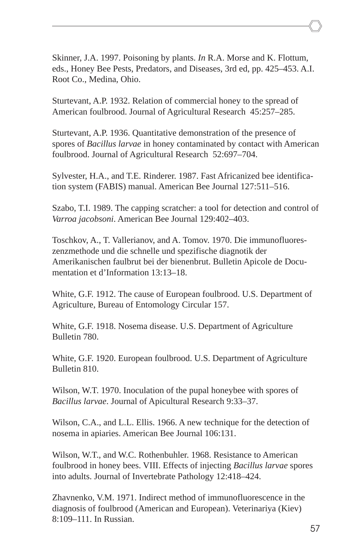Skinner, J.A. 1997. Poisoning by plants. *In* R.A. Morse and K. Flottum, eds., Honey Bee Pests, Predators, and Diseases, 3rd ed, pp. 425–453. A.I. Root Co., Medina, Ohio.

Sturtevant, A.P. 1932. Relation of commercial honey to the spread of American foulbrood. Journal of Agricultural Research 45:257–285.

Sturtevant, A.P. 1936. Quantitative demonstration of the presence of spores of *Bacillus larvae* in honey contaminated by contact with American foulbrood. Journal of Agricultural Research 52:697–704.

Sylvester, H.A., and T.E. Rinderer. 1987. Fast Africanized bee identification system (FABIS) manual. American Bee Journal 127:511–516.

Szabo, T.I. 1989. The capping scratcher: a tool for detection and control of *Varroa jacobsoni*. American Bee Journal 129:402–403.

Toschkov, A., T. Vallerianov, and A. Tomov. 1970. Die immunofluoreszenzmethode und die schnelle und spezifische diagnotik der Amerikanischen faulbrut bei der bienenbrut. Bulletin Apicole de Documentation et d'Information 13:13–18.

White, G.F. 1912. The cause of European foulbrood. U.S. Department of Agriculture, Bureau of Entomology Circular 157.

White, G.F. 1918. Nosema disease. U.S. Department of Agriculture Bulletin 780.

White, G.F. 1920. European foulbrood. U.S. Department of Agriculture Bulletin 810.

Wilson, W.T. 1970. Inoculation of the pupal honeybee with spores of *Bacillus larvae*. Journal of Apicultural Research 9:33–37.

Wilson, C.A., and L.L. Ellis. 1966. A new technique for the detection of nosema in apiaries. American Bee Journal 106:131.

Wilson, W.T., and W.C. Rothenbuhler. 1968. Resistance to American foulbrood in honey bees. VIII. Effects of injecting *Bacillus larvae* spores into adults. Journal of Invertebrate Pathology 12:418–424.

Zhavnenko, V.M. 1971. Indirect method of immunofluorescence in the diagnosis of foulbrood (American and European). Veterinariya (Kiev) 8:109–111. In Russian.